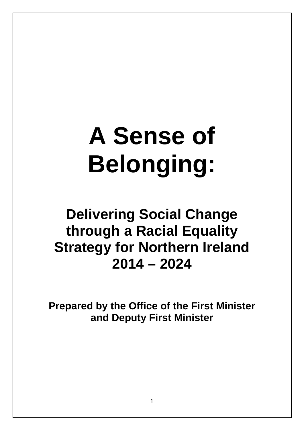# **A Sense of Belonging:**

## **Delivering Social Change through a Racial Equality Strategy for Northern Ireland 2014 – 2024**

<span id="page-0-0"></span>**Prepared by the Office of the First Minister and Deputy First Minister**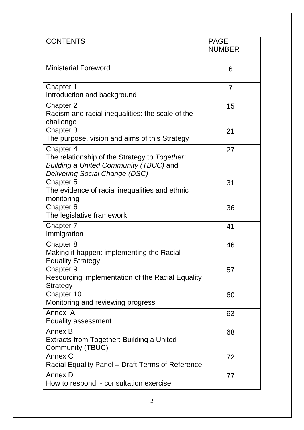| <b>CONTENTS</b>                                                                                                                               | <b>PAGE</b><br><b>NUMBER</b> |
|-----------------------------------------------------------------------------------------------------------------------------------------------|------------------------------|
| <b>Ministerial Foreword</b>                                                                                                                   | 6                            |
| Chapter 1<br>Introduction and background                                                                                                      | $\overline{7}$               |
| Chapter 2<br>Racism and racial inequalities: the scale of the<br>challenge                                                                    | 15                           |
| Chapter 3<br>The purpose, vision and aims of this Strategy                                                                                    | 21                           |
| Chapter 4<br>The relationship of the Strategy to Together:<br><b>Building a United Community (TBUC) and</b><br>Delivering Social Change (DSC) | 27                           |
| Chapter 5<br>The evidence of racial inequalities and ethnic<br>monitoring                                                                     | 31                           |
| Chapter 6<br>The legislative framework                                                                                                        | 36                           |
| Chapter 7<br>Immigration                                                                                                                      | 41                           |
| Chapter 8<br>Making it happen: implementing the Racial<br><b>Equality Strategy</b>                                                            | 46                           |
| Chapter 9<br>Resourcing implementation of the Racial Equality<br>Strategy                                                                     | 57                           |
| Chapter 10<br>Monitoring and reviewing progress                                                                                               | 60                           |
| Annex A<br><b>Equality assessment</b>                                                                                                         | 63                           |
| Annex B<br>Extracts from Together: Building a United<br>Community (TBUC)                                                                      | 68                           |
| Annex C<br>Racial Equality Panel – Draft Terms of Reference                                                                                   | 72                           |
| Annex D<br>How to respond - consultation exercise                                                                                             | 77                           |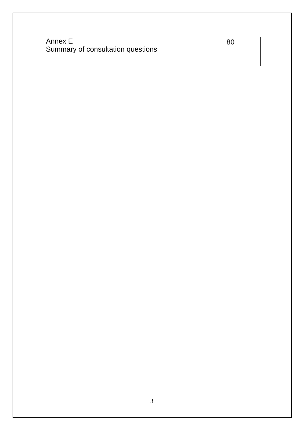| l Annex E                         | 80 |
|-----------------------------------|----|
| Summary of consultation questions |    |
|                                   |    |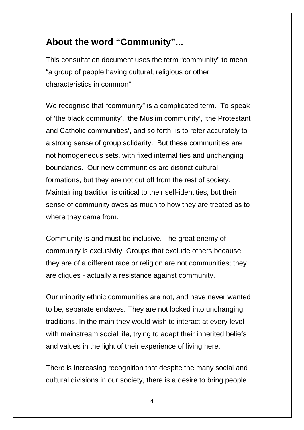## **About the word "Community"...**

This consultation document uses the term "community" to mean "a group of people having cultural, religious or other characteristics in common".

We recognise that "community" is a complicated term. To speak of 'the black community', 'the Muslim community', 'the Protestant and Catholic communities', and so forth, is to refer accurately to a strong sense of group solidarity. But these communities are not homogeneous sets, with fixed internal ties and unchanging boundaries. Our new communities are distinct cultural formations, but they are not cut off from the rest of society. Maintaining tradition is critical to their self-identities, but their sense of community owes as much to how they are treated as to where they came from.

Community is and must be inclusive. The great enemy of community is exclusivity. Groups that exclude others because they are of a different race or religion are not communities; they are cliques - actually a resistance against community.

Our minority ethnic communities are not, and have never wanted to be, separate enclaves. They are not locked into unchanging traditions. In the main they would wish to interact at every level with mainstream social life, trying to adapt their inherited beliefs and values in the light of their experience of living here.

There is increasing recognition that despite the many social and cultural divisions in our society, there is a desire to bring people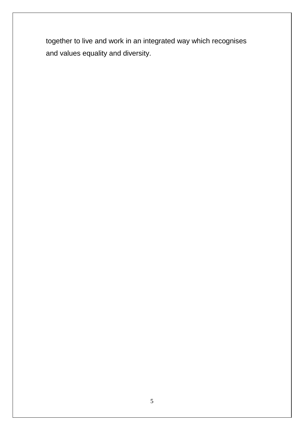together to live and work in an integrated way which recognises and values equality and diversity.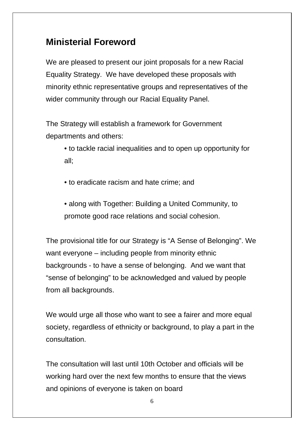## **Ministerial Foreword**

We are pleased to present our joint proposals for a new Racial Equality Strategy. We have developed these proposals with minority ethnic representative groups and representatives of the wider community through our Racial Equality Panel.

The Strategy will establish a framework for Government departments and others:

> • to tackle racial inequalities and to open up opportunity for all;

• to eradicate racism and hate crime; and

• along with Together: Building a United Community, to promote good race relations and social cohesion.

The provisional title for our Strategy is "A Sense of Belonging". We want everyone – including people from minority ethnic backgrounds - to have a sense of belonging. And we want that "sense of belonging" to be acknowledged and valued by people from all backgrounds.

We would urge all those who want to see a fairer and more equal society, regardless of ethnicity or background, to play a part in the consultation.

The consultation will last until 10th October and officials will be working hard over the next few months to ensure that the views and opinions of everyone is taken on board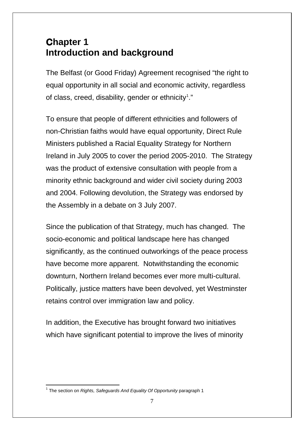## **Chapter 1 Introduction and background**

The Belfast (or Good Friday) Agreement recognised "the right to equal opportunity in all social and economic activity, regardless of class, creed, disability, gender or ethnicity<sup>[1](#page-0-0)</sup>."

To ensure that people of different ethnicities and followers of non-Christian faiths would have equal opportunity, Direct Rule Ministers published a Racial Equality Strategy for Northern Ireland in July 2005 to cover the period 2005-2010. The Strategy was the product of extensive consultation with people from a minority ethnic background and wider civil society during 2003 and 2004. Following devolution, the Strategy was endorsed by the Assembly in a debate on 3 July 2007.

Since the publication of that Strategy, much has changed. The socio-economic and political landscape here has changed significantly, as the continued outworkings of the peace process have become more apparent. Notwithstanding the economic downturn, Northern Ireland becomes ever more multi-cultural. Politically, justice matters have been devolved, yet Westminster retains control over immigration law and policy.

In addition, the Executive has brought forward two initiatives which have significant potential to improve the lives of minority

<span id="page-6-0"></span><sup>1</sup> The section on *Rights, Safeguards And Equality Of Opportunity* paragraph 1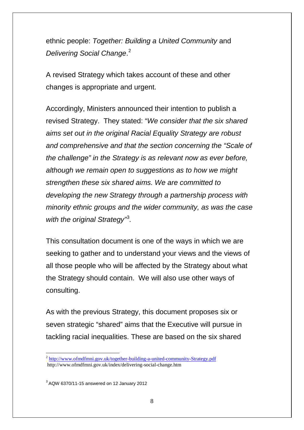ethnic people: *Together: Building a United Community* and *Delivering Social Change*. [2](#page-6-0)

A revised Strategy which takes account of these and other changes is appropriate and urgent.

Accordingly, Ministers announced their intention to publish a revised Strategy. They stated: "*We consider that the six shared aims set out in the original Racial Equality Strategy are robust and comprehensive and that the section concerning the "Scale of the challenge" in the Strategy is as relevant now as ever before, although we remain open to suggestions as to how we might strengthen these six shared aims. We are committed to developing the new Strategy through a partnership process with minority ethnic groups and the wider community, as was the case*  with the original Strategy<sup>1[3](#page-7-0)</sup>.

This consultation document is one of the ways in which we are seeking to gather and to understand your views and the views of all those people who will be affected by the Strategy about what the Strategy should contain. We will also use other ways of consulting.

As with the previous Strategy, this document proposes six or seven strategic "shared" aims that the Executive will pursue in tackling racial inequalities. These are based on the six shared

<span id="page-7-1"></span><sup>&</sup>lt;sup>2</sup> [http://www.ofmdfmni.gov.uk/together-building-a-united-community-Strategy.pdf](http://www.ofmdfmni.gov.uk/together-building-a-united-community-strategy.pdf) http://www.ofmdfmni.gov.uk/index/delivering-social-change.htm

<span id="page-7-0"></span> $3$  AQW 6370/11-15 answered on 12 January 2012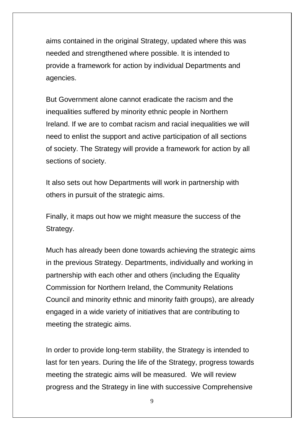aims contained in the original Strategy, updated where this was needed and strengthened where possible. It is intended to provide a framework for action by individual Departments and agencies.

But Government alone cannot eradicate the racism and the inequalities suffered by minority ethnic people in Northern Ireland. If we are to combat racism and racial inequalities we will need to enlist the support and active participation of all sections of society. The Strategy will provide a framework for action by all sections of society.

It also sets out how Departments will work in partnership with others in pursuit of the strategic aims.

Finally, it maps out how we might measure the success of the Strategy.

Much has already been done towards achieving the strategic aims in the previous Strategy. Departments, individually and working in partnership with each other and others (including the Equality Commission for Northern Ireland, the Community Relations Council and minority ethnic and minority faith groups), are already engaged in a wide variety of initiatives that are contributing to meeting the strategic aims.

In order to provide long-term stability, the Strategy is intended to last for ten years. During the life of the Strategy, progress towards meeting the strategic aims will be measured. We will review progress and the Strategy in line with successive Comprehensive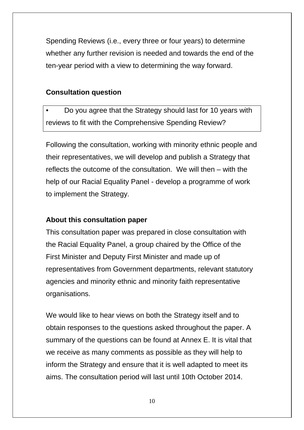Spending Reviews (i.e., every three or four years) to determine whether any further revision is needed and towards the end of the ten-year period with a view to determining the way forward.

#### **Consultation question**

• Do you agree that the Strategy should last for 10 years with reviews to fit with the Comprehensive Spending Review?

Following the consultation, working with minority ethnic people and their representatives, we will develop and publish a Strategy that reflects the outcome of the consultation. We will then – with the help of our Racial Equality Panel - develop a programme of work to implement the Strategy.

#### **About this consultation paper**

This consultation paper was prepared in close consultation with the Racial Equality Panel, a group chaired by the Office of the First Minister and Deputy First Minister and made up of representatives from Government departments, relevant statutory agencies and minority ethnic and minority faith representative organisations.

We would like to hear views on both the Strategy itself and to obtain responses to the questions asked throughout the paper. A summary of the questions can be found at Annex E. It is vital that we receive as many comments as possible as they will help to inform the Strategy and ensure that it is well adapted to meet its aims. The consultation period will last until 10th October 2014.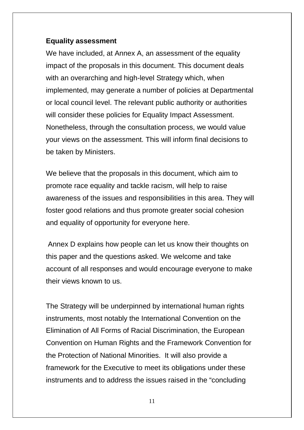#### **Equality assessment**

We have included, at Annex A, an assessment of the equality impact of the proposals in this document. This document deals with an overarching and high-level Strategy which, when implemented, may generate a number of policies at Departmental or local council level. The relevant public authority or authorities will consider these policies for Equality Impact Assessment. Nonetheless, through the consultation process, we would value your views on the assessment. This will inform final decisions to be taken by Ministers.

We believe that the proposals in this document, which aim to promote race equality and tackle racism, will help to raise awareness of the issues and responsibilities in this area. They will foster good relations and thus promote greater social cohesion and equality of opportunity for everyone here.

Annex D explains how people can let us know their thoughts on this paper and the questions asked. We welcome and take account of all responses and would encourage everyone to make their views known to us.

The Strategy will be underpinned by international human rights instruments, most notably the International Convention on the Elimination of All Forms of Racial Discrimination, the European Convention on Human Rights and the Framework Convention for the Protection of National Minorities. It will also provide a framework for the Executive to meet its obligations under these instruments and to address the issues raised in the "concluding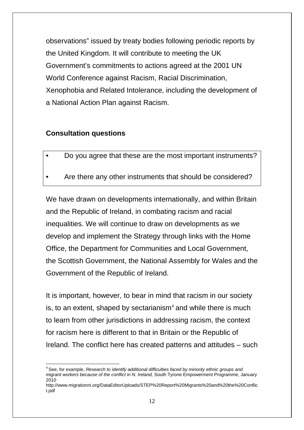observations" issued by treaty bodies following periodic reports by the United Kingdom. It will contribute to meeting the UK Government's commitments to actions agreed at the 2001 UN World Conference against Racism, Racial Discrimination, Xenophobia and Related Intolerance, including the development of a National Action Plan against Racism.

#### **Consultation questions**

- Do you agree that these are the most important instruments?
- Are there any other instruments that should be considered?

We have drawn on developments internationally, and within Britain and the Republic of Ireland, in combating racism and racial inequalities. We will continue to draw on developments as we develop and implement the Strategy through links with the Home Office, the Department for Communities and Local Government, the Scottish Government, the National Assembly for Wales and the Government of the Republic of Ireland.

It is important, however, to bear in mind that racism in our society is, to an extent, shaped by sectarianism $4$  and while there is much to learn from other jurisdictions in addressing racism, the context for racism here is different to that in Britain or the Republic of Ireland. The conflict here has created patterns and attitudes – such

<sup>4</sup> See, for example, *Research to identify additional difficulties faced by minority ethnic groups and migrant workers because of the conflict in N. Ireland,* South Tyrone Empowerment Programme, January 2010

<span id="page-11-0"></span>http://www.migrationni.org/DataEditorUploads/STEP%20Report%20Migrants%20and%20the%20Conflic t.pdf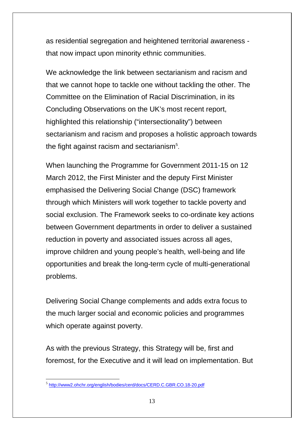as residential segregation and heightened territorial awareness that now impact upon minority ethnic communities.

We acknowledge the link between sectarianism and racism and that we cannot hope to tackle one without tackling the other. The Committee on the Elimination of Racial Discrimination, in its Concluding Observations on the UK's most recent report, highlighted this relationship ("intersectionality") between sectarianism and racism and proposes a holistic approach towards the fight against racism and sectarianism<sup>[5](#page-11-0)</sup>.

When launching the Programme for Government 2011-15 on 12 March 2012, the First Minister and the deputy First Minister emphasised the Delivering Social Change (DSC) framework through which Ministers will work together to tackle poverty and social exclusion. The Framework seeks to co-ordinate key actions between Government departments in order to deliver a sustained reduction in poverty and associated issues across all ages, improve children and young people's health, well-being and life opportunities and break the long-term cycle of multi-generational problems.

Delivering Social Change complements and adds extra focus to the much larger social and economic policies and programmes which operate against poverty.

<span id="page-12-0"></span>As with the previous Strategy, this Strategy will be, first and foremost, for the Executive and it will lead on implementation. But

 <sup>5</sup> <http://www2.ohchr.org/english/bodies/cerd/docs/CERD.C.GBR.CO.18-20.pdf>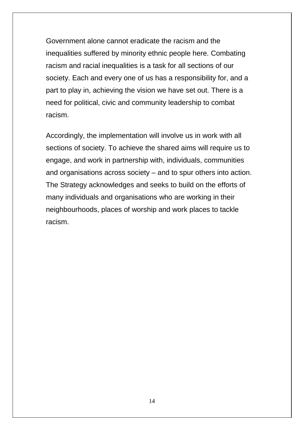Government alone cannot eradicate the racism and the inequalities suffered by minority ethnic people here. Combating racism and racial inequalities is a task for all sections of our society. Each and every one of us has a responsibility for, and a part to play in, achieving the vision we have set out. There is a need for political, civic and community leadership to combat racism.

Accordingly, the implementation will involve us in work with all sections of society. To achieve the shared aims will require us to engage, and work in partnership with, individuals, communities and organisations across society – and to spur others into action. The Strategy acknowledges and seeks to build on the efforts of many individuals and organisations who are working in their neighbourhoods, places of worship and work places to tackle racism.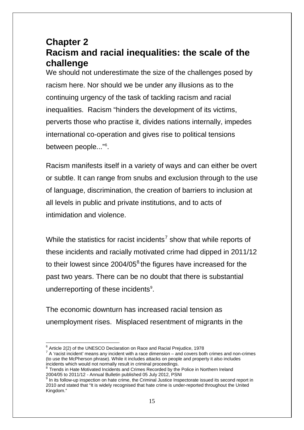## **Chapter 2 Racism and racial inequalities: the scale of the challenge**

We should not underestimate the size of the challenges posed by racism here. Nor should we be under any illusions as to the continuing urgency of the task of tackling racism and racial inequalities. Racism "hinders the development of its victims, perverts those who practise it, divides nations internally, impedes international co-operation and gives rise to political tensions between people..."<sup>[6](#page-12-0)</sup>.

Racism manifests itself in a variety of ways and can either be overt or subtle. It can range from snubs and exclusion through to the use of language, discrimination, the creation of barriers to inclusion at all levels in public and private institutions, and to acts of intimidation and violence.

While the statistics for racist incidents<sup>[7](#page-14-0)</sup> show that while reports of these incidents and racially motivated crime had dipped in 2011/12 to their lowest since 2004/05<sup>[8](#page-14-1)</sup> the figures have increased for the past two years. There can be no doubt that there is substantial underreporting of these incidents<sup>[9](#page-14-2)</sup>.

The economic downturn has increased racial tension as unemployment rises. Misplaced resentment of migrants in the

<span id="page-14-0"></span> $6 \text{ Article } 2(2)$  of the UNESCO Declaration on Race and Racial Prejudice, 1978<br>
<sup>7</sup> A 'racist incident' means any incident with a race dimension – and covers both crimes and non-crimes (to use the McPherson phrase). While it includes attacks on people and property it also includes incidents which would not normally result in criminal proceedings.

<span id="page-14-1"></span> $8$  Trends in Hate Motivated Incidents and Crimes Recorded by the Police in Northern Ireland 2004/05 to 2011/12 - Annual Bulletin published 05 July 2012, PSNI<br> $9$  In its follow-up inspection on hate crime, the Criminal Justice Inspectorate issued its second report in

<span id="page-14-3"></span><span id="page-14-2"></span><sup>2010</sup> and stated that "It is widely recognised that hate crime is under-reported throughout the United Kingdom."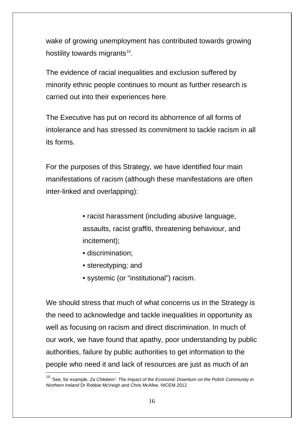wake of growing unemployment has contributed towards growing hostility towards migrants<sup>[10](#page-14-3)</sup>.

The evidence of racial inequalities and exclusion suffered by minority ethnic people continues to mount as further research is carried out into their experiences here.

The Executive has put on record its abhorrence of all forms of intolerance and has stressed its commitment to tackle racism in all its forms.

For the purposes of this Strategy, we have identified four main manifestations of racism (although these manifestations are often inter-linked and overlapping):

- racist harassment (including abusive language, assaults, racist graffiti, threatening behaviour, and incitement);
- discrimination;
- stereotyping; and
- systemic (or "institutional") racism.

We should stress that much of what concerns us in the Strategy is the need to acknowledge and tackle inequalities in opportunity as well as focusing on racism and direct discrimination. In much of our work, we have found that apathy, poor understanding by public authorities, failure by public authorities to get information to the people who need it and lack of resources are just as much of an

<span id="page-15-0"></span> <sup>10</sup> 'See, for example*, Za Chlebem': The Impact of the Economic Downturn on the Polish Community in Northern Ireland* Dr Robbie McVeigh and Chris McAfee, NICEM 2012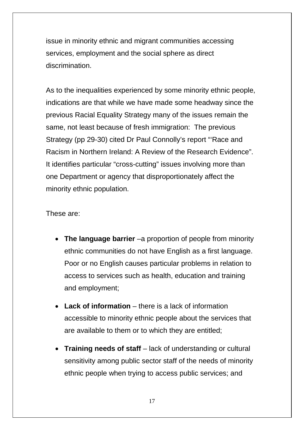issue in minority ethnic and migrant communities accessing services, employment and the social sphere as direct discrimination.

As to the inequalities experienced by some minority ethnic people, indications are that while we have made some headway since the previous Racial Equality Strategy many of the issues remain the same, not least because of fresh immigration: The previous Strategy (pp 29-30) cited Dr Paul Connolly's report "'Race and Racism in Northern Ireland: A Review of the Research Evidence". It identifies particular "cross-cutting" issues involving more than one Department or agency that disproportionately affect the minority ethnic population.

These are:

- **The language barrier** –a proportion of people from minority ethnic communities do not have English as a first language. Poor or no English causes particular problems in relation to access to services such as health, education and training and employment;
- **Lack of information** there is a lack of information accessible to minority ethnic people about the services that are available to them or to which they are entitled;
- **Training needs of staff** lack of understanding or cultural sensitivity among public sector staff of the needs of minority ethnic people when trying to access public services; and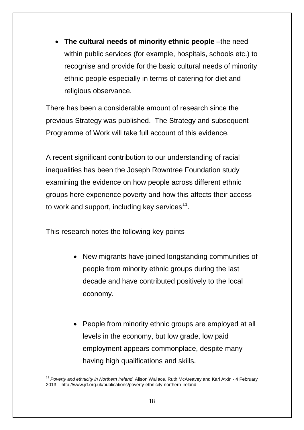• **The cultural needs of minority ethnic people** –the need within public services (for example, hospitals, schools etc.) to recognise and provide for the basic cultural needs of minority ethnic people especially in terms of catering for diet and religious observance.

There has been a considerable amount of research since the previous Strategy was published. The Strategy and subsequent Programme of Work will take full account of this evidence.

A recent significant contribution to our understanding of racial inequalities has been the Joseph Rowntree Foundation study examining the evidence on how people across different ethnic groups here experience poverty and how this affects their access to work and support, including key services<sup>[11](#page-15-0)</sup>.

This research notes the following key points

- New migrants have joined longstanding communities of people from minority ethnic groups during the last decade and have contributed positively to the local economy.
- People from minority ethnic groups are employed at all levels in the economy, but low grade, low paid employment appears commonplace, despite many having high qualifications and skills.

<span id="page-17-0"></span> <sup>11</sup> *Poverty and ethnicity in Northern Ireland*Alison Wallace, Ruth McAreavey and Karl Atkin - 4 February 2013 - http://www.jrf.org.uk/publications/poverty-ethnicity-northern-ireland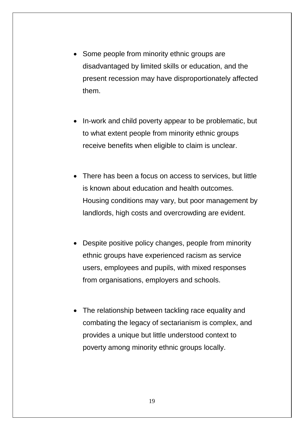- Some people from minority ethnic groups are disadvantaged by limited skills or education, and the present recession may have disproportionately affected them.
- In-work and child poverty appear to be problematic, but to what extent people from minority ethnic groups receive benefits when eligible to claim is unclear.
- There has been a focus on access to services, but little is known about education and health outcomes. Housing conditions may vary, but poor management by landlords, high costs and overcrowding are evident.
- Despite positive policy changes, people from minority ethnic groups have experienced racism as service users, employees and pupils, with mixed responses from organisations, employers and schools.
- The relationship between tackling race equality and combating the legacy of sectarianism is complex, and provides a unique but little understood context to poverty among minority ethnic groups locally.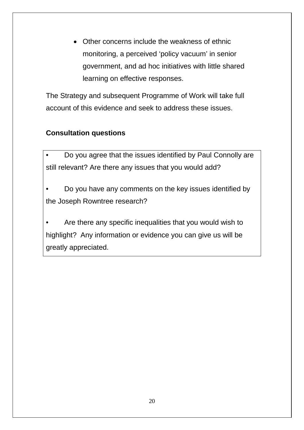• Other concerns include the weakness of ethnic monitoring, a perceived 'policy vacuum' in senior government, and ad hoc initiatives with little shared learning on effective responses.

The Strategy and subsequent Programme of Work will take full account of this evidence and seek to address these issues.

#### **Consultation questions**

• Do you agree that the issues identified by Paul Connolly are still relevant? Are there any issues that you would add?

• Do you have any comments on the key issues identified by the Joseph Rowntree research?

Are there any specific inequalities that you would wish to highlight? Any information or evidence you can give us will be greatly appreciated.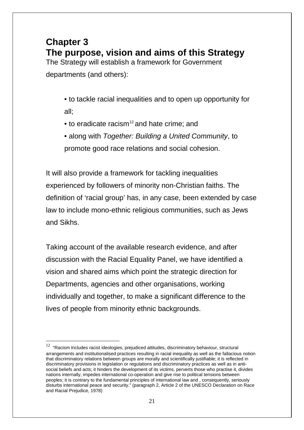## **Chapter 3 The purpose, vision and aims of this Strategy**

The Strategy will establish a framework for Government departments (and others):

- to tackle racial inequalities and to open up opportunity for all;
- $\bullet$  to eradicate racism<sup>[12](#page-17-0)</sup> and hate crime; and
- along with *Together: Building a United Community*, to promote good race relations and social cohesion.

It will also provide a framework for tackling inequalities experienced by followers of minority non-Christian faiths. The definition of 'racial group' has, in any case, been extended by case law to include mono-ethnic religious communities, such as Jews and Sikhs.

Taking account of the available research evidence, and after discussion with the Racial Equality Panel, we have identified a vision and shared aims which point the strategic direction for Departments, agencies and other organisations, working individually and together, to make a significant difference to the lives of people from minority ethnic backgrounds.

<span id="page-20-0"></span> $12$  "Racism includes racist ideologies, prejudiced attitudes, discriminatory behaviour, structural arrangements and institutionalised practices resulting in racial inequality as well as the fallacious notion that discriminatory relations between groups are morally and scientifically justifiable; it is reflected in discriminatory provisions in legislation or regulations and discriminatory practices as well as in antisocial beliefs and acts; it hinders the development of its victims, perverts those who practise it, divides nations internally, impedes international co-operation and give rise to political tensions between peoples; it is contrary to the fundamental principles of international law and , consequently, seriously disturbs international peace and security." (paragraph 2, Article 2 of the UNESCO Declaration on Race and Racial Prejudice, 1978)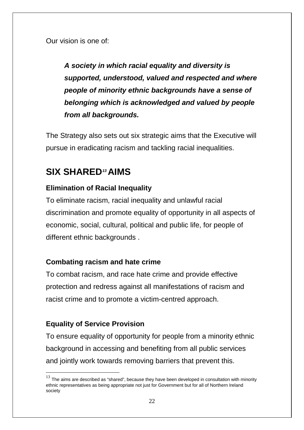Our vision is one of:

*A society in which racial equality and diversity is supported, understood, valued and respected and where people of minority ethnic backgrounds have a sense of belonging which is acknowledged and valued by people from all backgrounds.*

The Strategy also sets out six strategic aims that the Executive will pursue in eradicating racism and tackling racial inequalities.

## **SIX SHARED***[13](#page-20-0)***AIMS**

#### **Elimination of Racial Inequality**

To eliminate racism, racial inequality and unlawful racial discrimination and promote equality of opportunity in all aspects of economic, social, cultural, political and public life, for people of different ethnic backgrounds.

#### **Combating racism and hate crime**

To combat racism, and race hate crime and provide effective protection and redress against all manifestations of racism and racist crime and to promote a victim-centred approach.

#### **Equality of Service Provision**

To ensure equality of opportunity for people from a minority ethnic background in accessing and benefiting from all public services and jointly work towards removing barriers that prevent this.

<span id="page-21-0"></span> $13$  The aims are described as "shared", because they have been developed in consultation with minority ethnic representatives as being appropriate not just for Government but for all of Northern Ireland society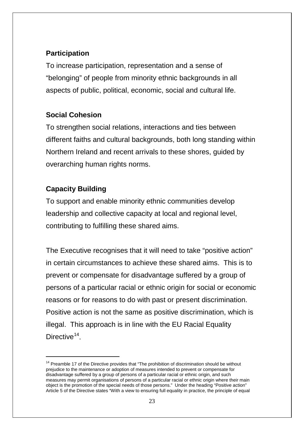#### **Participation**

To increase participation, representation and a sense of "belonging" of people from minority ethnic backgrounds in all aspects of public, political, economic, social and cultural life.

#### **Social Cohesion**

To strengthen social relations, interactions and ties between different faiths and cultural backgrounds, both long standing within Northern Ireland and recent arrivals to these shores, guided by overarching human rights norms.

#### **Capacity Building**

<u>.</u>

To support and enable minority ethnic communities develop leadership and collective capacity at local and regional level, contributing to fulfilling these shared aims.

The Executive recognises that it will need to take "positive action" in certain circumstances to achieve these shared aims. This is to prevent or compensate for disadvantage suffered by a group of persons of a particular racial or ethnic origin for social or economic reasons or for reasons to do with past or present discrimination. Positive action is not the same as positive discrimination, which is illegal. This approach is in line with the EU Racial Equality Directive<sup>[14](#page-21-0)</sup>

<span id="page-22-0"></span> $14$  Preamble 17 of the Directive provides that "The prohibition of discrimination should be without prejudice to the maintenance or adoption of measures intended to prevent or compensate for disadvantage suffered by a group of persons of a particular racial or ethnic origin, and such measures may permit organisations of persons of a particular racial or ethnic origin where their main object is the promotion of the special needs of those persons." Under the heading "Positive action" Article 5 of the Directive states "With a view to ensuring full equality in practice, the principle of equal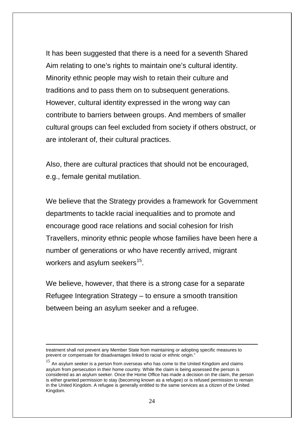It has been suggested that there is a need for a seventh Shared Aim relating to one's rights to maintain one's cultural identity. Minority ethnic people may wish to retain their culture and traditions and to pass them on to subsequent generations. However, cultural identity expressed in the wrong way can contribute to barriers between groups. And members of smaller cultural groups can feel excluded from society if others obstruct, or are intolerant of, their cultural practices.

Also, there are cultural practices that should not be encouraged, e.g., female genital mutilation.

We believe that the Strategy provides a framework for Government departments to tackle racial inequalities and to promote and encourage good race relations and social cohesion for Irish Travellers, minority ethnic people whose families have been here a number of generations or who have recently arrived, migrant workers and asylum seekers $15$ .

We believe, however, that there is a strong case for a separate Refugee Integration Strategy – to ensure a smooth transition between being an asylum seeker and a refugee.

-

treatment shall not prevent any Member State from maintaining or adopting specific measures to prevent or compensate for disadvantages linked to racial or ethnic origin."

<span id="page-23-0"></span> $15$  An asylum seeker is a person from overseas who has come to the United Kingdom and claims asylum from persecution in their home country. While the claim is being assessed the person is considered as an asylum seeker. Once the Home Office has made a decision on the claim, the person is either granted permission to stay (becoming known as a refugee) or is refused permission to remain in the United Kingdom. A refugee is generally entitled to the same services as a citizen of the United Kingdom.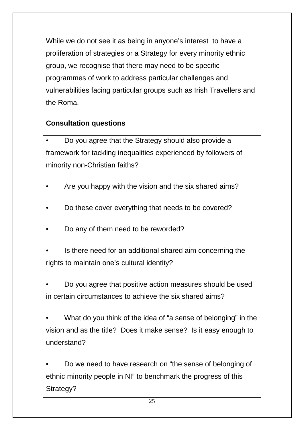While we do not see it as being in anyone's interest to have a proliferation of strategies or a Strategy for every minority ethnic group, we recognise that there may need to be specific programmes of work to address particular challenges and vulnerabilities facing particular groups such as Irish Travellers and the Roma.

#### **Consultation questions**

• Do you agree that the Strategy should also provide a framework for tackling inequalities experienced by followers of minority non-Christian faiths?

- Are you happy with the vision and the six shared aims?
- Do these cover everything that needs to be covered?
- Do any of them need to be reworded?
- Is there need for an additional shared aim concerning the rights to maintain one's cultural identity?

• Do you agree that positive action measures should be used in certain circumstances to achieve the six shared aims?

• What do you think of the idea of "a sense of belonging" in the vision and as the title? Does it make sense? Is it easy enough to understand?

• Do we need to have research on "the sense of belonging of ethnic minority people in NI" to benchmark the progress of this Strategy?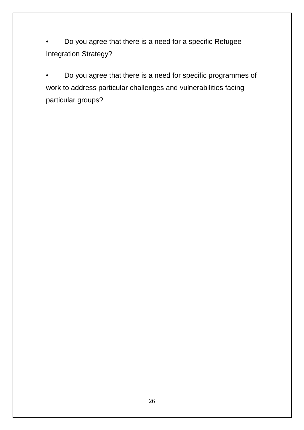• Do you agree that there is a need for a specific Refugee Integration Strategy?

• Do you agree that there is a need for specific programmes of work to address particular challenges and vulnerabilities facing particular groups?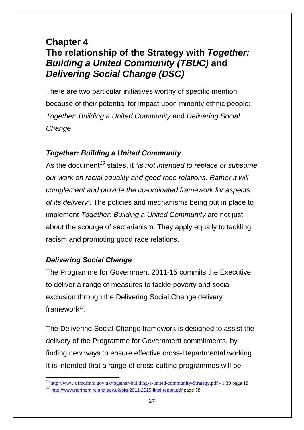## **Chapter 4 The relationship of the Strategy with** *Together: Building a United Community (TBUC)* **and**  *Delivering Social Change (DSC)*

There are two particular initiatives worthy of specific mention because of their potential for impact upon minority ethnic people: *Together: Building a United Community* and *Delivering Social Change*

#### *Together: Building a United Community*

As the document*[16](#page-23-0)* states, it "*is not intended to replace or subsume our work on racial equality and good race relations. Rather it will complement and provide the co-ordinated framework for aspects of its delivery".* The policies and mechanisms being put in place to implement *Together: Building a United Community* are not just about the scourge of sectarianism. They apply equally to tackling racism and promoting good race relations.

#### *Delivering Social Change*

The Programme for Government 2011-15 commits the Executive to deliver a range of measures to tackle poverty and social exclusion through the Delivering Social Change delivery framework $17$ .

The Delivering Social Change framework is designed to assist the delivery of the Programme for Government commitments, by finding new ways to ensure effective cross-Departmental working. It is intended that a range of cross-cutting programmes will be

<span id="page-26-1"></span><span id="page-26-0"></span><sup>&</sup>lt;sup>16</sup> [http://www.ofmdfmni.gov.uk/together-building-a-united-community-Strategy.pdf -](http://www.ofmdfmni.gov.uk/together-building-a-united-community-strategy.pdf%20-%201.30) 1.30 page 18 <sup>17</sup> <http://www.northernireland.gov.uk/pfg-2011-2015-final-report.pdf> page 38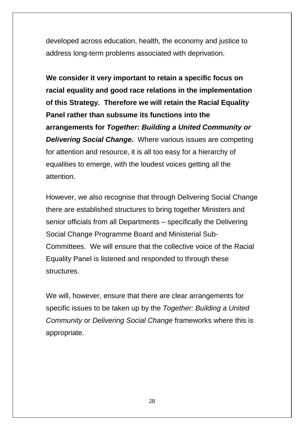developed across education, health, the economy and justice to address long-term problems associated with deprivation.

**We consider it very important to retain a specific focus on racial equality and good race relations in the implementation of this Strategy. Therefore we will retain the Racial Equality Panel rather than subsume its functions into the arrangements for** *Together: Building a United Community or Delivering Social Change***.** Where various issues are competing for attention and resource, it is all too easy for a hierarchy of equalities to emerge, with the loudest voices getting all the attention.

However, we also recognise that through Delivering Social Change there are established structures to bring together Ministers and senior officials from all Departments – specifically the Delivering Social Change Programme Board and Ministerial Sub-Committees. We will ensure that the collective voice of the Racial Equality Panel is listened and responded to through these structures.

We will, however, ensure that there are clear arrangements for specific issues to be taken up by the *Together: Building a United Community* or *Delivering Social Change* frameworks where this is appropriate.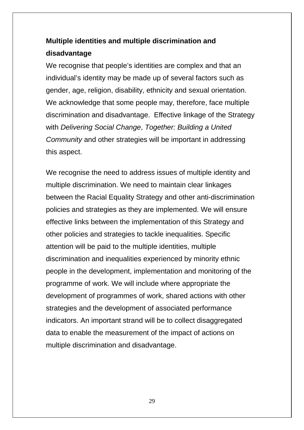## **Multiple identities and multiple discrimination and disadvantage**

We recognise that people's identities are complex and that an individual's identity may be made up of several factors such as gender, age, religion, disability, ethnicity and sexual orientation. We acknowledge that some people may, therefore, face multiple discrimination and disadvantage. Effective linkage of the Strategy with *Delivering Social Change*, *Together: Building a United Community* and other strategies will be important in addressing this aspect.

We recognise the need to address issues of multiple identity and multiple discrimination. We need to maintain clear linkages between the Racial Equality Strategy and other anti-discrimination policies and strategies as they are implemented. We will ensure effective links between the implementation of this Strategy and other policies and strategies to tackle inequalities. Specific attention will be paid to the multiple identities, multiple discrimination and inequalities experienced by minority ethnic people in the development, implementation and monitoring of the programme of work. We will include where appropriate the development of programmes of work, shared actions with other strategies and the development of associated performance indicators. An important strand will be to collect disaggregated data to enable the measurement of the impact of actions on multiple discrimination and disadvantage.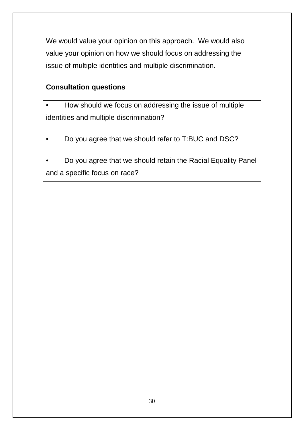We would value your opinion on this approach. We would also value your opinion on how we should focus on addressing the issue of multiple identities and multiple discrimination.

#### **Consultation questions**

- How should we focus on addressing the issue of multiple identities and multiple discrimination?
- Do you agree that we should refer to T:BUC and DSC?
- Do you agree that we should retain the Racial Equality Panel and a specific focus on race?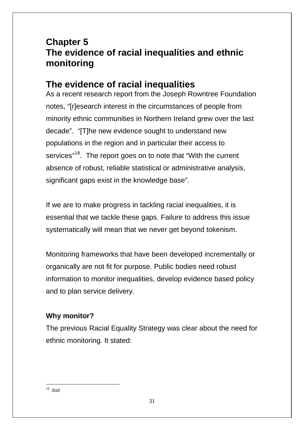## **Chapter 5 The evidence of racial inequalities and ethnic monitoring**

## **The evidence of racial inequalities**

As a recent research report from the Joseph Rowntree Foundation notes, "[r]esearch interest in the circumstances of people from minority ethnic communities in Northern Ireland grew over the last decade". "[T]he new evidence sought to understand new populations in the region and in particular their access to services"<sup>18</sup>. The report goes on to note that "With the current absence of robust, reliable statistical or administrative analysis, significant gaps exist in the knowledge base".

If we are to make progress in tackling racial inequalities, it is essential that we tackle these gaps. Failure to address this issue systematically will mean that we never get beyond tokenism.

Monitoring frameworks that have been developed incrementally or organically are not fit for purpose. Public bodies need robust information to monitor inequalities, develop evidence based policy and to plan service delivery.

#### **Why monitor?**

The previous Racial Equality Strategy was clear about the need for ethnic monitoring. It stated:

 $18$  ibid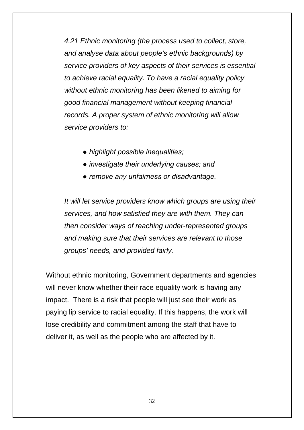*4.21 Ethnic monitoring (the process used to collect, store, and analyse data about people's ethnic backgrounds) by service providers of key aspects of their services is essential to achieve racial equality. To have a racial equality policy without ethnic monitoring has been likened to aiming for good financial management without keeping financial records. A proper system of ethnic monitoring will allow service providers to:*

- *highlight possible inequalities;*
- *investigate their underlying causes; and*
- *remove any unfairness or disadvantage.*

*It will let service providers know which groups are using their services, and how satisfied they are with them. They can then consider ways of reaching under-represented groups and making sure that their services are relevant to those groups' needs, and provided fairly.* 

Without ethnic monitoring, Government departments and agencies will never know whether their race equality work is having any impact. There is a risk that people will just see their work as paying lip service to racial equality. If this happens, the work will lose credibility and commitment among the staff that have to deliver it, as well as the people who are affected by it.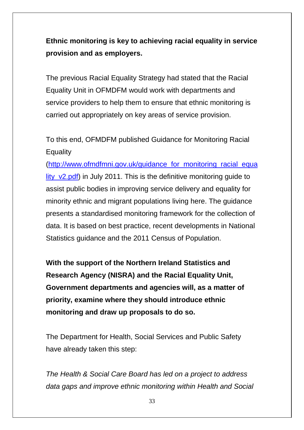**Ethnic monitoring is key to achieving racial equality in service provision and as employers.**

The previous Racial Equality Strategy had stated that the Racial Equality Unit in OFMDFM would work with departments and service providers to help them to ensure that ethnic monitoring is carried out appropriately on key areas of service provision.

To this end, OFMDFM published Guidance for Monitoring Racial **Equality** 

[\(http://www.ofmdfmni.gov.uk/guidance\\_for\\_monitoring\\_racial\\_equa](http://www.ofmdfmni.gov.uk/guidance_for_monitoring_racial_equality_v2.pdf) lity v2.pdf) in July 2011. This is the definitive monitoring guide to assist public bodies in improving service delivery and equality for minority ethnic and migrant populations living here. The guidance presents a standardised monitoring framework for the collection of data. It is based on best practice, recent developments in National Statistics guidance and the 2011 Census of Population.

**With the support of the Northern Ireland Statistics and Research Agency (NISRA) and the Racial Equality Unit, Government departments and agencies will, as a matter of priority, examine where they should introduce ethnic monitoring and draw up proposals to do so.**

The Department for Health, Social Services and Public Safety have already taken this step:

*The Health & Social Care Board has led on a project to address data gaps and improve ethnic monitoring within Health and Social*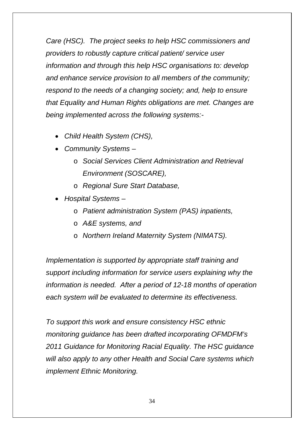*Care (HSC). The project seeks to help HSC commissioners and providers to robustly capture critical patient/ service user information and through this help HSC organisations to: develop and enhance service provision to all members of the community; respond to the needs of a changing society; and, help to ensure that Equality and Human Rights obligations are met. Changes are being implemented across the following systems:-*

- *Child Health System (CHS),*
- *Community Systems –*
	- o *Social Services Client Administration and Retrieval Environment (SOSCARE),*
	- o *Regional Sure Start Database,*
- *Hospital Systems –*
	- o *Patient administration System (PAS) inpatients,*
	- o *A&E systems, and*
	- o *Northern Ireland Maternity System (NIMATS).*

*Implementation is supported by appropriate staff training and support including information for service users explaining why the information is needed. After a period of 12-18 months of operation each system will be evaluated to determine its effectiveness.*

*To support this work and ensure consistency HSC ethnic monitoring guidance has been drafted incorporating OFMDFM's 2011 Guidance for Monitoring Racial Equality. The HSC guidance will also apply to any other Health and Social Care systems which implement Ethnic Monitoring.*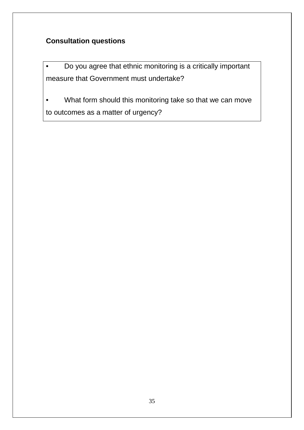#### **Consultation questions**

• Do you agree that ethnic monitoring is a critically important measure that Government must undertake?

• What form should this monitoring take so that we can move to outcomes as a matter of urgency?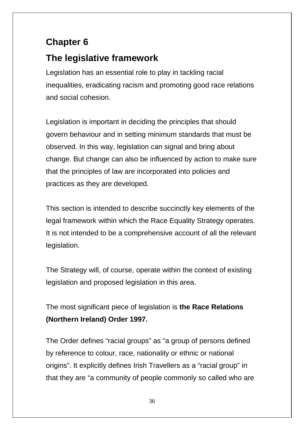## **Chapter 6**

## **The legislative framework**

Legislation has an essential role to play in tackling racial inequalities, eradicating racism and promoting good race relations and social cohesion.

Legislation is important in deciding the principles that should govern behaviour and in setting minimum standards that must be observed. In this way, legislation can signal and bring about change. But change can also be influenced by action to make sure that the principles of law are incorporated into policies and practices as they are developed.

This section is intended to describe succinctly key elements of the legal framework within which the Race Equality Strategy operates. It is not intended to be a comprehensive account of all the relevant legislation.

The Strategy will, of course, operate within the context of existing legislation and proposed legislation in this area.

The most significant piece of legislation is **the Race Relations (Northern Ireland) Order 1997.**

The Order defines "racial groups" as "a group of persons defined by reference to colour, race, nationality or ethnic or national origins". It explicitly defines Irish Travellers as a "racial group" in that they are "a community of people commonly so called who are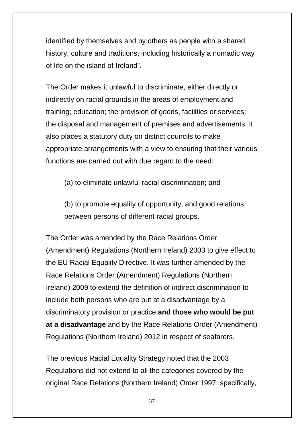identified by themselves and by others as people with a shared history, culture and traditions, including historically a nomadic way of life on the island of Ireland".

The Order makes it unlawful to discriminate, either directly or indirectly on racial grounds in the areas of employment and training; education; the provision of goods, facilities or services; the disposal and management of premises and advertisements. It also places a statutory duty on district councils to make appropriate arrangements with a view to ensuring that their various functions are carried out with due regard to the need:

(a) to eliminate unlawful racial discrimination; and

(b) to promote equality of opportunity, and good relations, between persons of different racial groups.

The Order was amended by the Race Relations Order (Amendment) Regulations (Northern Ireland) 2003 to give effect to the EU Racial Equality Directive. It was further amended by the Race Relations Order (Amendment) Regulations (Northern Ireland) 2009 to extend the definition of indirect discrimination to include both persons who are put at a disadvantage by a discriminatory provision or practice **and those who would be put at a disadvantage** and by the Race Relations Order (Amendment) Regulations (Northern Ireland) 2012 in respect of seafarers.

The previous Racial Equality Strategy noted that the 2003 Regulations did not extend to all the categories covered by the original Race Relations (Northern Ireland) Order 1997: specifically,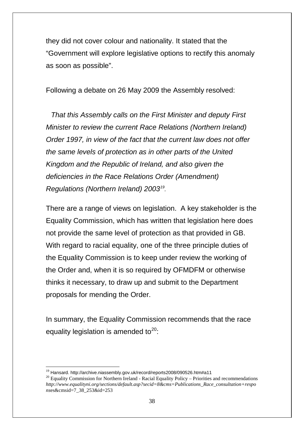they did not cover colour and nationality. It stated that the "Government will explore legislative options to rectify this anomaly as soon as possible".

Following a debate on 26 May 2009 the Assembly resolved:

*That this Assembly calls on the First Minister and deputy First Minister to review the current Race Relations (Northern Ireland) Order 1997, in view of the fact that the current law does not offer the same levels of protection as in other parts of the United Kingdom and the Republic of Ireland, and also given the deficiencies in the Race Relations Order (Amendment) Regulations (Northern Ireland) 2003[19](#page-30-0).*

There are a range of views on legislation. A key stakeholder is the Equality Commission, which has written that legislation here does not provide the same level of protection as that provided in GB. With regard to racial equality, one of the three principle duties of the Equality Commission is to keep under review the working of the Order and, when it is so required by OFMDFM or otherwise thinks it necessary, to draw up and submit to the Department proposals for mending the Order.

In summary, the Equality Commission recommends that the race equality legislation is amended to $20$ :

<span id="page-37-1"></span><span id="page-37-0"></span><sup>&</sup>lt;sup>19</sup> Hansard. http://archive.niassembly.gov.uk/record/reports2008/090526.htm#a11<br><sup>20</sup> Equality Commission for Northern Ireland - Racial Equality Policy – Priorities and recommendations *http://www.equalityni.org/sections/default.asp?secid=8&cms=Publications\_Race\_consultation+respo ns*es&cmsid=7\_38\_253&id=253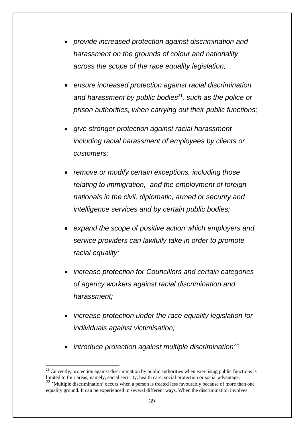- *provide increased protection against discrimination and harassment on the grounds of colour and nationality across the scope of the race equality legislation;*
- *ensure increased protection against racial discrimination and harassment by public bodies*[21](#page-37-1)*, such as the police or prison authorities, when carrying out their public functions;*
- *give stronger protection against racial harassment including racial harassment of employees by clients or customers;*
- *remove or modify certain exceptions, including those relating to immigration, and the employment of foreign nationals in the civil, diplomatic, armed or security and intelligence services and by certain public bodies;*
- *expand the scope of positive action which employers and service providers can lawfully take in order to promote racial equality;*
- *increase protection for Councillors and certain categories of agency workers against racial discrimination and harassment;*
- *increase protection under the race equality legislation for individuals against victimisation;*
- *introduce protection against multiple discrimination*[22;](#page-38-0)

<span id="page-38-1"></span> $21$  Currently, protection against discrimination by public authorities when exercising public functions is limited to four areas; namely, social security, health care, social protection or social advantage.

<span id="page-38-0"></span> $22$  'Multiple discrimination' occurs when a person is treated less favourably because of more than one equality ground. It can be experienced in several different ways. When the discrimination involves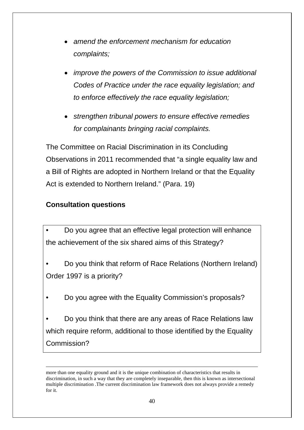- *amend the enforcement mechanism for education complaints;*
- *improve the powers of the Commission to issue additional Codes of Practice under the race equality legislation; and to enforce effectively the race equality legislation;*
- *strengthen tribunal powers to ensure effective remedies for complainants bringing racial complaints.*

The Committee on Racial Discrimination in its Concluding Observations in 2011 recommended that "a single equality law and a Bill of Rights are adopted in Northern Ireland or that the Equality Act is extended to Northern Ireland." (Para. 19)

### **Consultation questions**

<u>.</u>

• Do you agree that an effective legal protection will enhance the achievement of the six shared aims of this Strategy?

• Do you think that reform of Race Relations (Northern Ireland) Order 1997 is a priority?

• Do you agree with the Equality Commission's proposals?

• Do you think that there are any areas of Race Relations law which require reform, additional to those identified by the Equality Commission?

more than one equality ground and it is the unique combination of characteristics that results in discrimination, in such a way that they are completely inseparable, then this is known as intersectional multiple discrimination .The current discrimination law framework does not always provide a remedy for it.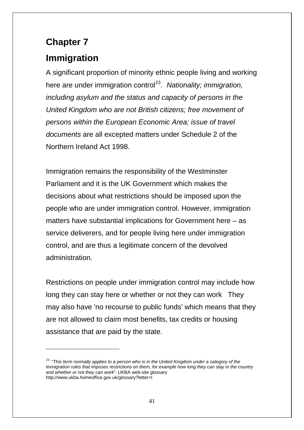# **Chapter 7**

<u>.</u>

# **Immigration**

A significant proportion of minority ethnic people living and working here are under immigration control<sup>23</sup>. Nationality; *immigration*, *including asylum and the status and capacity of persons in the United Kingdom who are not British citizens; free movement of persons within the European Economic Area; issue of travel documents* are all excepted matters under Schedule 2 of the Northern Ireland Act 1998.

Immigration remains the responsibility of the Westminster Parliament and it is the UK Government which makes the decisions about what restrictions should be imposed upon the people who are under immigration control. However, immigration matters have substantial implications for Government here – as service deliverers, and for people living here under immigration control, and are thus a legitimate concern of the devolved administration.

Restrictions on people under immigration control may include how long they can stay here or whether or not they can work They may also have 'no recourse to public funds' which means that they are not allowed to claim most benefits, tax credits or housing assistance that are paid by the state.

<span id="page-40-0"></span><sup>&</sup>lt;sup>23</sup> "This term normally applies to a person who is in the United Kingdom under a category of the *immigration rules that imposes restrictions on them, for example how long they can stay in the country and whether or not they can work*". UKBA web-site glossary http://www.ukba.homeoffice.gov.uk/glossary?letter=I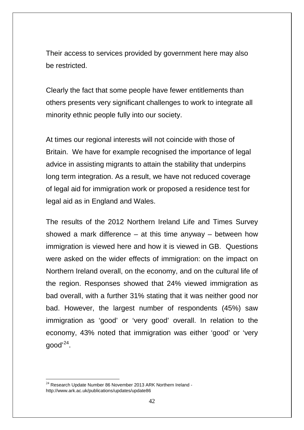Their access to services provided by government here may also be restricted.

Clearly the fact that some people have fewer entitlements than others presents very significant challenges to work to integrate all minority ethnic people fully into our society.

At times our regional interests will not coincide with those of Britain. We have for example recognised the importance of legal advice in assisting migrants to attain the stability that underpins long term integration. As a result, we have not reduced coverage of legal aid for immigration work or proposed a residence test for legal aid as in England and Wales.

The results of the 2012 Northern Ireland Life and Times Survey showed a mark difference  $-$  at this time anyway  $-$  between how immigration is viewed here and how it is viewed in GB. Questions were asked on the wider effects of immigration: on the impact on Northern Ireland overall, on the economy, and on the cultural life of the region. Responses showed that 24% viewed immigration as bad overall, with a further 31% stating that it was neither good nor bad. However, the largest number of respondents (45%) saw immigration as 'good' or 'very good' overall. In relation to the economy, 43% noted that immigration was either 'good' or 'very good' [24.](#page-40-0)

<span id="page-41-0"></span> $24$  Research Update Number 86 November 2013 ARK Northern Ireland http://www.ark.ac.uk/publications/updates/update86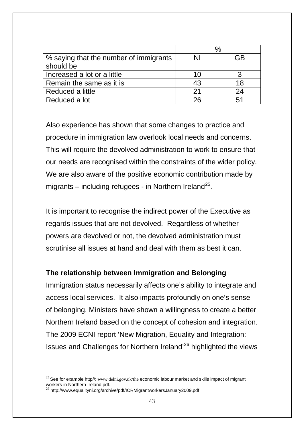|                                        | $\%$ |    |
|----------------------------------------|------|----|
| % saying that the number of immigrants | ΝI   | GB |
| should be                              |      |    |
| Increased a lot or a little            | 10   |    |
| Remain the same as it is               | 43   | 18 |
| Reduced a little                       | 21   | 24 |
| Reduced a lot                          | 26   |    |

Also experience has shown that some changes to practice and procedure in immigration law overlook local needs and concerns. This will require the devolved administration to work to ensure that our needs are recognised within the constraints of the wider policy. We are also aware of the positive economic contribution made by migrants – including refugees - in Northern Ireland<sup>25</sup>.

It is important to recognise the indirect power of the Executive as regards issues that are not devolved. Regardless of whether powers are devolved or not, the devolved administration must scrutinise all issues at hand and deal with them as best it can.

#### **The relationship between Immigration and Belonging**

Immigration status necessarily affects one's ability to integrate and access local services. It also impacts profoundly on one's sense of belonging. Ministers have shown a willingness to create a better Northern Ireland based on the concept of cohesion and integration. The 2009 ECNI report 'New Migration, Equality and Integration: Issues and Challenges for Northern Ireland'[26](#page-42-0) highlighted the views

<span id="page-42-1"></span><sup>&</sup>lt;sup>25</sup> See for example http//: [www.delni.gov.uk/the](http://www.delni.gov.uk/the) economic labour market and skills impact of migrant workers in Northern Ireland pdf.

<span id="page-42-0"></span><sup>26</sup> http://www.equalityni.org/archive/pdf/ICRMigrantworkersJanuary2009.pdf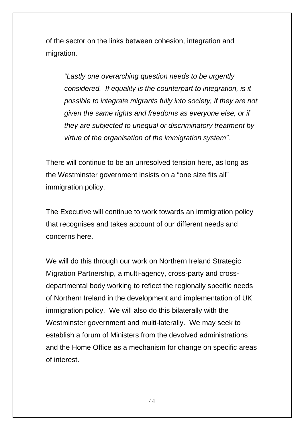of the sector on the links between cohesion, integration and migration.

*"Lastly one overarching question needs to be urgently considered. If equality is the counterpart to integration, is it possible to integrate migrants fully into society, if they are not given the same rights and freedoms as everyone else, or if they are subjected to unequal or discriminatory treatment by virtue of the organisation of the immigration system".*

There will continue to be an unresolved tension here, as long as the Westminster government insists on a "one size fits all" immigration policy.

The Executive will continue to work towards an immigration policy that recognises and takes account of our different needs and concerns here.

We will do this through our work on Northern Ireland Strategic Migration Partnership, a multi-agency, cross-party and crossdepartmental body working to reflect the regionally specific needs of Northern Ireland in the development and implementation of UK immigration policy. We will also do this bilaterally with the Westminster government and multi-laterally. We may seek to establish a forum of Ministers from the devolved administrations and the Home Office as a mechanism for change on specific areas of interest.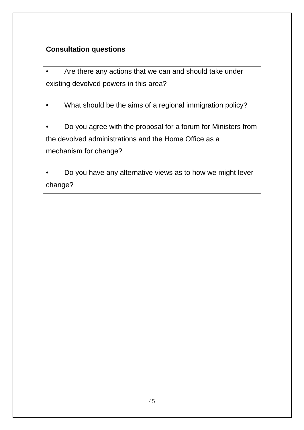## **Consultation questions**

• Are there any actions that we can and should take under existing devolved powers in this area?

• What should be the aims of a regional immigration policy?

• Do you agree with the proposal for a forum for Ministers from the devolved administrations and the Home Office as a mechanism for change?

• Do you have any alternative views as to how we might lever change?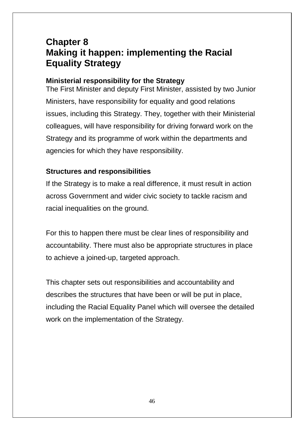## **Chapter 8 Making it happen: implementing the Racial Equality Strategy**

### **Ministerial responsibility for the Strategy**

The First Minister and deputy First Minister, assisted by two Junior Ministers, have responsibility for equality and good relations issues, including this Strategy. They, together with their Ministerial colleagues, will have responsibility for driving forward work on the Strategy and its programme of work within the departments and agencies for which they have responsibility.

### **Structures and responsibilities**

If the Strategy is to make a real difference, it must result in action across Government and wider civic society to tackle racism and racial inequalities on the ground.

For this to happen there must be clear lines of responsibility and accountability. There must also be appropriate structures in place to achieve a joined-up, targeted approach.

This chapter sets out responsibilities and accountability and describes the structures that have been or will be put in place, including the Racial Equality Panel which will oversee the detailed work on the implementation of the Strategy.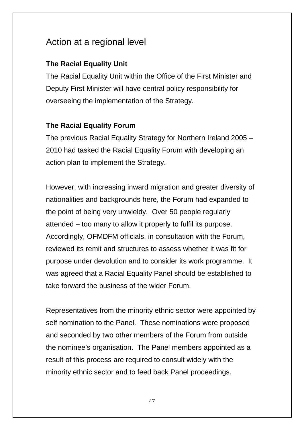## Action at a regional level

## **The Racial Equality Unit**

The Racial Equality Unit within the Office of the First Minister and Deputy First Minister will have central policy responsibility for overseeing the implementation of the Strategy.

## **The Racial Equality Forum**

The previous Racial Equality Strategy for Northern Ireland 2005 – 2010 had tasked the Racial Equality Forum with developing an action plan to implement the Strategy.

However, with increasing inward migration and greater diversity of nationalities and backgrounds here, the Forum had expanded to the point of being very unwieldy. Over 50 people regularly attended – too many to allow it properly to fulfil its purpose. Accordingly, OFMDFM officials, in consultation with the Forum, reviewed its remit and structures to assess whether it was fit for purpose under devolution and to consider its work programme. It was agreed that a Racial Equality Panel should be established to take forward the business of the wider Forum.

Representatives from the minority ethnic sector were appointed by self nomination to the Panel. These nominations were proposed and seconded by two other members of the Forum from outside the nominee's organisation. The Panel members appointed as a result of this process are required to consult widely with the minority ethnic sector and to feed back Panel proceedings.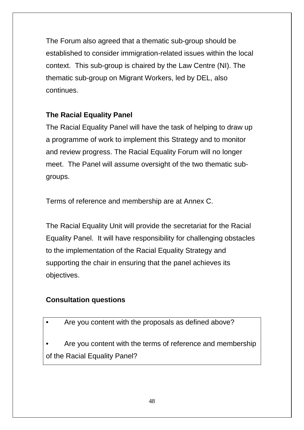The Forum also agreed that a thematic sub-group should be established to consider immigration-related issues within the local context. This sub-group is chaired by the Law Centre (NI). The thematic sub-group on Migrant Workers, led by DEL, also continues.

## **The Racial Equality Panel**

The Racial Equality Panel will have the task of helping to draw up a programme of work to implement this Strategy and to monitor and review progress. The Racial Equality Forum will no longer meet. The Panel will assume oversight of the two thematic subgroups.

Terms of reference and membership are at Annex C.

The Racial Equality Unit will provide the secretariat for the Racial Equality Panel. It will have responsibility for challenging obstacles to the implementation of the Racial Equality Strategy and supporting the chair in ensuring that the panel achieves its objectives.

## **Consultation questions**

• Are you content with the proposals as defined above?

Are you content with the terms of reference and membership of the Racial Equality Panel?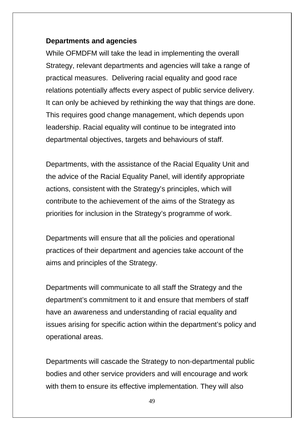#### **Departments and agencies**

While OFMDFM will take the lead in implementing the overall Strategy, relevant departments and agencies will take a range of practical measures. Delivering racial equality and good race relations potentially affects every aspect of public service delivery. It can only be achieved by rethinking the way that things are done. This requires good change management, which depends upon leadership. Racial equality will continue to be integrated into departmental objectives, targets and behaviours of staff.

Departments, with the assistance of the Racial Equality Unit and the advice of the Racial Equality Panel, will identify appropriate actions, consistent with the Strategy's principles, which will contribute to the achievement of the aims of the Strategy as priorities for inclusion in the Strategy's programme of work.

Departments will ensure that all the policies and operational practices of their department and agencies take account of the aims and principles of the Strategy.

Departments will communicate to all staff the Strategy and the department's commitment to it and ensure that members of staff have an awareness and understanding of racial equality and issues arising for specific action within the department's policy and operational areas.

Departments will cascade the Strategy to non-departmental public bodies and other service providers and will encourage and work with them to ensure its effective implementation. They will also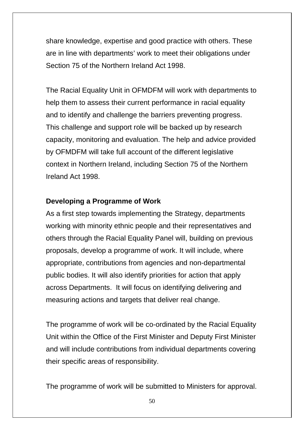share knowledge, expertise and good practice with others. These are in line with departments' work to meet their obligations under Section 75 of the Northern Ireland Act 1998.

The Racial Equality Unit in OFMDFM will work with departments to help them to assess their current performance in racial equality and to identify and challenge the barriers preventing progress. This challenge and support role will be backed up by research capacity, monitoring and evaluation. The help and advice provided by OFMDFM will take full account of the different legislative context in Northern Ireland, including Section 75 of the Northern Ireland Act 1998.

#### **Developing a Programme of Work**

As a first step towards implementing the Strategy, departments working with minority ethnic people and their representatives and others through the Racial Equality Panel will, building on previous proposals, develop a programme of work. It will include, where appropriate, contributions from agencies and non-departmental public bodies. It will also identify priorities for action that apply across Departments. It will focus on identifying delivering and measuring actions and targets that deliver real change.

The programme of work will be co-ordinated by the Racial Equality Unit within the Office of the First Minister and Deputy First Minister and will include contributions from individual departments covering their specific areas of responsibility.

The programme of work will be submitted to Ministers for approval.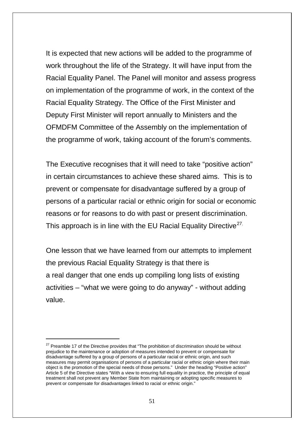It is expected that new actions will be added to the programme of work throughout the life of the Strategy. It will have input from the Racial Equality Panel. The Panel will monitor and assess progress on implementation of the programme of work, in the context of the Racial Equality Strategy. The Office of the First Minister and Deputy First Minister will report annually to Ministers and the OFMDFM Committee of the Assembly on the implementation of the programme of work, taking account of the forum's comments.

The Executive recognises that it will need to take "positive action" in certain circumstances to achieve these shared aims. This is to prevent or compensate for disadvantage suffered by a group of persons of a particular racial or ethnic origin for social or economic reasons or for reasons to do with past or present discrimination. This approach is in line with the EU Racial Equality Directive<sup>[27](#page-42-1).</sup>

One lesson that we have learned from our attempts to implement the previous Racial Equality Strategy is that there is a real danger that one ends up compiling long lists of existing activities – "what we were going to do anyway" - without adding value.

<u>.</u>

<span id="page-50-0"></span><sup>&</sup>lt;sup>27</sup> Preamble 17 of the Directive provides that "The prohibition of discrimination should be without prejudice to the maintenance or adoption of measures intended to prevent or compensate for disadvantage suffered by a group of persons of a particular racial or ethnic origin, and such measures may permit organisations of persons of a particular racial or ethnic origin where their main object is the promotion of the special needs of those persons." Under the heading "Positive action" Article 5 of the Directive states "With a view to ensuring full equality in practice, the principle of equal treatment shall not prevent any Member State from maintaining or adopting specific measures to prevent or compensate for disadvantages linked to racial or ethnic origin."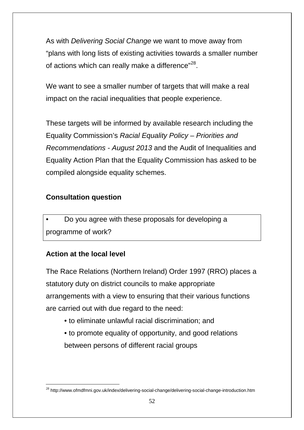As with *Delivering Social Change* we want to move away from "plans with long lists of existing activities towards a smaller number of actions which can really make a difference"<sup>28</sup>.

We want to see a smaller number of targets that will make a real impact on the racial inequalities that people experience.

These targets will be informed by available research including the Equality Commission's *Racial Equality Policy – Priorities and Recommendations - August 2013* and the Audit of Inequalities and Equality Action Plan that the Equality Commission has asked to be compiled alongside equality schemes.

### **Consultation question**

• Do you agree with these proposals for developing a programme of work?

### **Action at the local level**

The Race Relations (Northern Ireland) Order 1997 (RRO) places a statutory duty on district councils to make appropriate arrangements with a view to ensuring that their various functions are carried out with due regard to the need:

- to eliminate unlawful racial discrimination; and
- to promote equality of opportunity, and good relations between persons of different racial groups

<span id="page-51-0"></span> <sup>28</sup> http://www.ofmdfmni.gov.uk/index/delivering-social-change/delivering-social-change-introduction.htm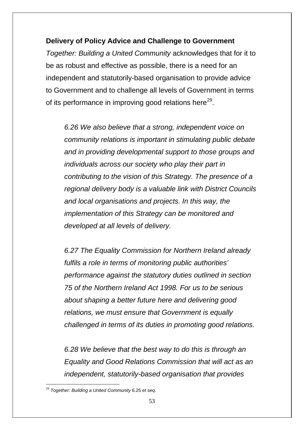### **Delivery of Policy Advice and Challenge to Government**

*Together: Building a United Community* acknowledges that for it to be as robust and effective as possible, there is a need for an independent and statutorily-based organisation to provide advice to Government and to challenge all levels of Government in terms of its performance in improving good relations here<sup>29</sup>.

*6.26 We also believe that a strong, independent voice on community relations is important in stimulating public debate and in providing developmental support to those groups and individuals across our society who play their part in contributing to the vision of this Strategy. The presence of a regional delivery body is a valuable link with District Councils and local organisations and projects. In this way, the implementation of this Strategy can be monitored and developed at all levels of delivery.* 

*6.27 The Equality Commission for Northern Ireland already fulfils a role in terms of monitoring public authorities' performance against the statutory duties outlined in section 75 of the Northern Ireland Act 1998. For us to be serious about shaping a better future here and delivering good relations, we must ensure that Government is equally challenged in terms of its duties in promoting good relations.* 

*6.28 We believe that the best way to do this is through an Equality and Good Relations Commission that will act as an independent, statutorily-based organisation that provides* 

<span id="page-52-0"></span> <sup>29</sup> *Together: Building a United Community* 6.25 *et seq.*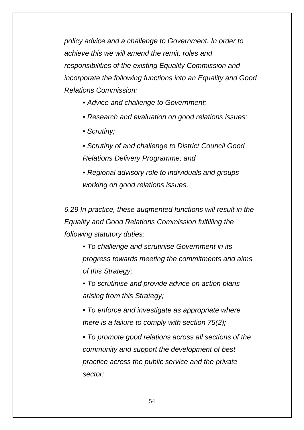*policy advice and a challenge to Government. In order to achieve this we will amend the remit, roles and responsibilities of the existing Equality Commission and incorporate the following functions into an Equality and Good Relations Commission:* 

- *Advice and challenge to Government;*
- *Research and evaluation on good relations issues;*
- *Scrutiny;*
- *Scrutiny of and challenge to District Council Good Relations Delivery Programme; and*
- *Regional advisory role to individuals and groups working on good relations issues.*

*6.29 In practice, these augmented functions will result in the Equality and Good Relations Commission fulfilling the following statutory duties:* 

- *To challenge and scrutinise Government in its progress towards meeting the commitments and aims of this Strategy;*
- *To scrutinise and provide advice on action plans arising from this Strategy;*
- *To enforce and investigate as appropriate where there is a failure to comply with section 75(2);*

*• To promote good relations across all sections of the community and support the development of best practice across the public service and the private sector;*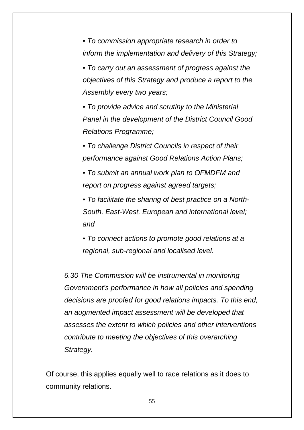*• To commission appropriate research in order to inform the implementation and delivery of this Strategy;* 

*• To carry out an assessment of progress against the objectives of this Strategy and produce a report to the Assembly every two years;* 

*• To provide advice and scrutiny to the Ministerial Panel in the development of the District Council Good Relations Programme;* 

*• To challenge District Councils in respect of their performance against Good Relations Action Plans;* 

*• To submit an annual work plan to OFMDFM and report on progress against agreed targets;* 

*• To facilitate the sharing of best practice on a North-South, East-West, European and international level; and* 

*• To connect actions to promote good relations at a regional, sub-regional and localised level.* 

*6.30 The Commission will be instrumental in monitoring Government's performance in how all policies and spending decisions are proofed for good relations impacts. To this end, an augmented impact assessment will be developed that assesses the extent to which policies and other interventions contribute to meeting the objectives of this overarching Strategy.*

Of course, this applies equally well to race relations as it does to community relations.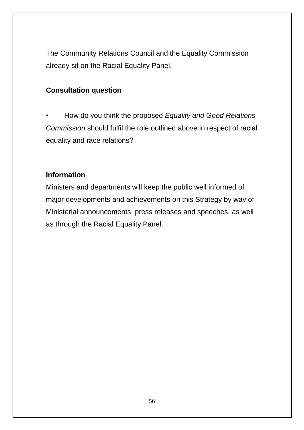The Community Relations Council and the Equality Commission already sit on the Racial Equality Panel.

#### **Consultation question**

• How do you think the proposed *Equality and Good Relations Commission* should fulfil the role outlined above in respect of racial equality and race relations?

### **Information**

Ministers and departments will keep the public well informed of major developments and achievements on this Strategy by way of Ministerial announcements, press releases and speeches, as well as through the Racial Equality Panel.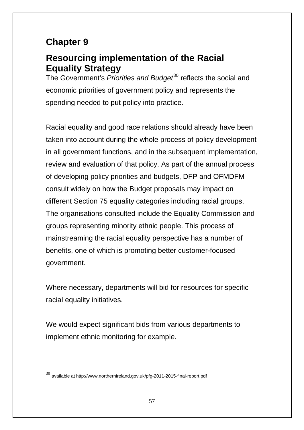# **Chapter 9**

## **Resourcing implementation of the Racial Equality Strategy**

The Government's *Priorities and Budget*[30](#page-52-0) reflects the social and economic priorities of government policy and represents the spending needed to put policy into practice.

Racial equality and good race relations should already have been taken into account during the whole process of policy development in all government functions, and in the subsequent implementation, review and evaluation of that policy. As part of the annual process of developing policy priorities and budgets, DFP and OFMDFM consult widely on how the Budget proposals may impact on different Section 75 equality categories including racial groups. The organisations consulted include the Equality Commission and groups representing minority ethnic people. This process of mainstreaming the racial equality perspective has a number of benefits, one of which is promoting better customer-focused government.

Where necessary, departments will bid for resources for specific racial equality initiatives.

We would expect significant bids from various departments to implement ethnic monitoring for example.

 $30$  available at http://www.northernireland.gov.uk/pfg-2011-2015-final-report.pdf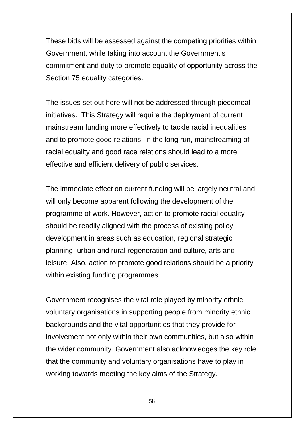These bids will be assessed against the competing priorities within Government, while taking into account the Government's commitment and duty to promote equality of opportunity across the Section 75 equality categories.

The issues set out here will not be addressed through piecemeal initiatives. This Strategy will require the deployment of current mainstream funding more effectively to tackle racial inequalities and to promote good relations. In the long run, mainstreaming of racial equality and good race relations should lead to a more effective and efficient delivery of public services.

The immediate effect on current funding will be largely neutral and will only become apparent following the development of the programme of work. However, action to promote racial equality should be readily aligned with the process of existing policy development in areas such as education, regional strategic planning, urban and rural regeneration and culture, arts and leisure. Also, action to promote good relations should be a priority within existing funding programmes.

Government recognises the vital role played by minority ethnic voluntary organisations in supporting people from minority ethnic backgrounds and the vital opportunities that they provide for involvement not only within their own communities, but also within the wider community. Government also acknowledges the key role that the community and voluntary organisations have to play in working towards meeting the key aims of the Strategy.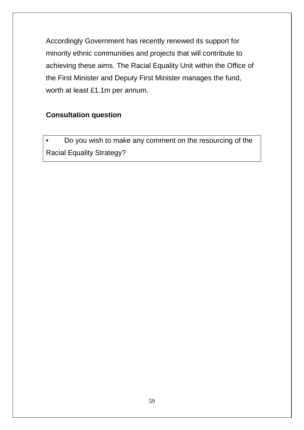Accordingly Government has recently renewed its support for minority ethnic communities and projects that will contribute to achieving these aims. The Racial Equality Unit within the Office of the First Minister and Deputy First Minister manages the fund, worth at least £1.1m per annum.

### **Consultation question**

• Do you wish to make any comment on the resourcing of the Racial Equality Strategy?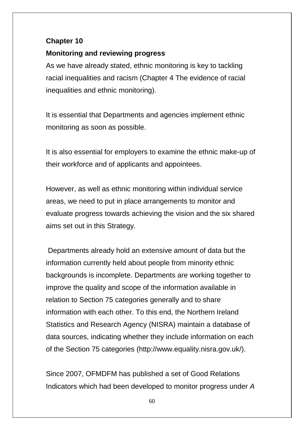### **Chapter 10**

### **Monitoring and reviewing progress**

As we have already stated, ethnic monitoring is key to tackling racial inequalities and racism (Chapter 4 The evidence of racial inequalities and ethnic monitoring).

It is essential that Departments and agencies implement ethnic monitoring as soon as possible.

It is also essential for employers to examine the ethnic make-up of their workforce and of applicants and appointees.

However, as well as ethnic monitoring within individual service areas, we need to put in place arrangements to monitor and evaluate progress towards achieving the vision and the six shared aims set out in this Strategy.

Departments already hold an extensive amount of data but the information currently held about people from minority ethnic backgrounds is incomplete. Departments are working together to improve the quality and scope of the information available in relation to Section 75 categories generally and to share information with each other. To this end, the Northern Ireland Statistics and Research Agency (NISRA) maintain a database of data sources, indicating whether they include information on each of the Section 75 categories (http://www.equality.nisra.gov.uk/).

Since 2007, OFMDFM has published a set of Good Relations Indicators which had been developed to monitor progress under *A*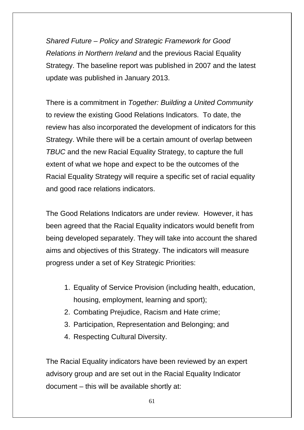*Shared Future – Policy and Strategic Framework for Good Relations in Northern Ireland* and the previous Racial Equality Strategy. The baseline report was published in 2007 and the latest update was published in January 2013.

There is a commitment in *Together: Building a United Community*  to review the existing Good Relations Indicators. To date, the review has also incorporated the development of indicators for this Strategy. While there will be a certain amount of overlap between *TBUC* and the new Racial Equality Strategy, to capture the full extent of what we hope and expect to be the outcomes of the Racial Equality Strategy will require a specific set of racial equality and good race relations indicators.

The Good Relations Indicators are under review. However, it has been agreed that the Racial Equality indicators would benefit from being developed separately. They will take into account the shared aims and objectives of this Strategy. The indicators will measure progress under a set of Key Strategic Priorities:

- 1. Equality of Service Provision (including health, education, housing, employment, learning and sport);
- 2. Combating Prejudice, Racism and Hate crime;
- 3. Participation, Representation and Belonging; and
- 4. Respecting Cultural Diversity.

The Racial Equality indicators have been reviewed by an expert advisory group and are set out in the Racial Equality Indicator document – this will be available shortly at: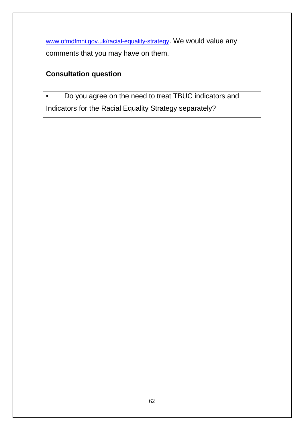[www.ofmdfmni.gov.uk/racial-equality-strategy.](http://www.ofmdfmni.gov.uk/racial-equality-strategy) We would value any comments that you may have on them.

## **Consultation question**

• Do you agree on the need to treat TBUC indicators and Indicators for the Racial Equality Strategy separately?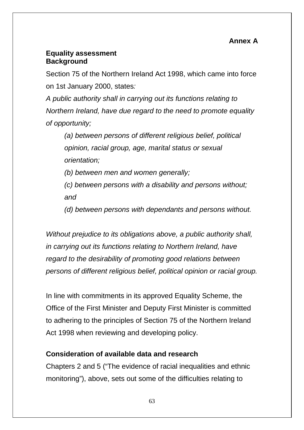### **Equality assessment Background**

Section 75 of the Northern Ireland Act 1998, which came into force on 1st January 2000, states*:* 

*A public authority shall in carrying out its functions relating to Northern Ireland, have due regard to the need to promote equality of opportunity;* 

*(a) between persons of different religious belief, political opinion, racial group, age, marital status or sexual orientation;* 

*(b) between men and women generally;* 

*(c) between persons with a disability and persons without; and* 

*(d) between persons with dependants and persons without.* 

*Without prejudice to its obligations above, a public authority shall, in carrying out its functions relating to Northern Ireland, have regard to the desirability of promoting good relations between persons of different religious belief, political opinion or racial group.* 

In line with commitments in its approved Equality Scheme, the Office of the First Minister and Deputy First Minister is committed to adhering to the principles of Section 75 of the Northern Ireland Act 1998 when reviewing and developing policy.

## **Consideration of available data and research**

Chapters 2 and 5 ("The evidence of racial inequalities and ethnic monitoring"), above, sets out some of the difficulties relating to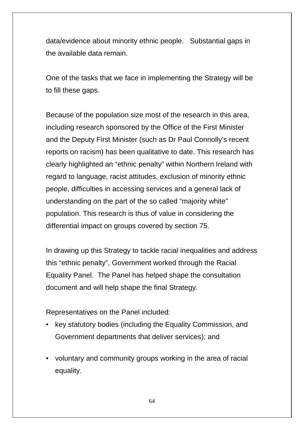data/evidence about minority ethnic people. Substantial gaps in the available data remain.

One of the tasks that we face in implementing the Strategy will be to fill these gaps.

Because of the population size most of the research in this area, including research sponsored by the Office of the First Minister and the Deputy First Minister (such as Dr Paul Connolly's recent reports on racism) has been qualitative to date. This research has clearly highlighted an "ethnic penalty" within Northern Ireland with regard to language, racist attitudes, exclusion of minority ethnic people, difficulties in accessing services and a general lack of understanding on the part of the so called "majority white" population. This research is thus of value in considering the differential impact on groups covered by section 75.

In drawing up this Strategy to tackle racial inequalities and address this "ethnic penalty", Government worked through the Racial Equality Panel. The Panel has helped shape the consultation document and will help shape the final Strategy.

Representatives on the Panel included:

- key statutory bodies (including the Equality Commission, and Government departments that deliver services); and
- voluntary and community groups working in the area of racial equality.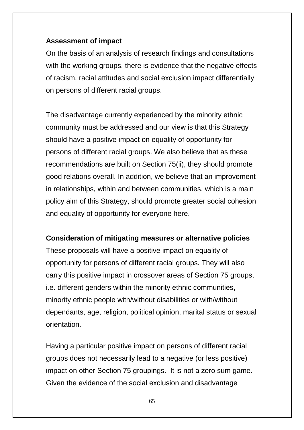#### **Assessment of impact**

On the basis of an analysis of research findings and consultations with the working groups, there is evidence that the negative effects of racism, racial attitudes and social exclusion impact differentially on persons of different racial groups.

The disadvantage currently experienced by the minority ethnic community must be addressed and our view is that this Strategy should have a positive impact on equality of opportunity for persons of different racial groups. We also believe that as these recommendations are built on Section 75(ii), they should promote good relations overall. In addition, we believe that an improvement in relationships, within and between communities, which is a main policy aim of this Strategy, should promote greater social cohesion and equality of opportunity for everyone here.

### **Consideration of mitigating measures or alternative policies**

These proposals will have a positive impact on equality of opportunity for persons of different racial groups. They will also carry this positive impact in crossover areas of Section 75 groups, i.e. different genders within the minority ethnic communities, minority ethnic people with/without disabilities or with/without dependants, age, religion, political opinion, marital status or sexual orientation.

Having a particular positive impact on persons of different racial groups does not necessarily lead to a negative (or less positive) impact on other Section 75 groupings. It is not a zero sum game. Given the evidence of the social exclusion and disadvantage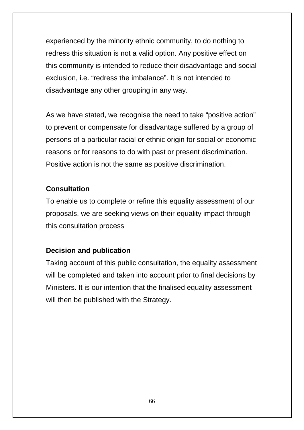experienced by the minority ethnic community, to do nothing to redress this situation is not a valid option. Any positive effect on this community is intended to reduce their disadvantage and social exclusion, i.e. "redress the imbalance". It is not intended to disadvantage any other grouping in any way.

As we have stated, we recognise the need to take "positive action" to prevent or compensate for disadvantage suffered by a group of persons of a particular racial or ethnic origin for social or economic reasons or for reasons to do with past or present discrimination. Positive action is not the same as positive discrimination.

#### **Consultation**

To enable us to complete or refine this equality assessment of our proposals, we are seeking views on their equality impact through this consultation process

### **Decision and publication**

Taking account of this public consultation, the equality assessment will be completed and taken into account prior to final decisions by Ministers. It is our intention that the finalised equality assessment will then be published with the Strategy.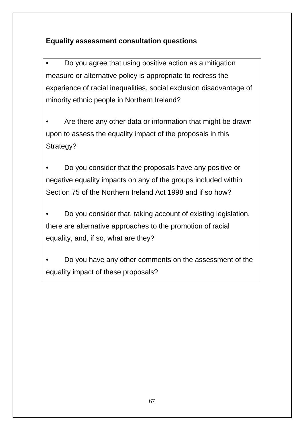## **Equality assessment consultation questions**

• Do you agree that using positive action as a mitigation measure or alternative policy is appropriate to redress the experience of racial inequalities, social exclusion disadvantage of minority ethnic people in Northern Ireland?

Are there any other data or information that might be drawn upon to assess the equality impact of the proposals in this Strategy?

• Do you consider that the proposals have any positive or negative equality impacts on any of the groups included within Section 75 of the Northern Ireland Act 1998 and if so how?

• Do you consider that, taking account of existing legislation, there are alternative approaches to the promotion of racial equality, and, if so, what are they?

• Do you have any other comments on the assessment of the equality impact of these proposals?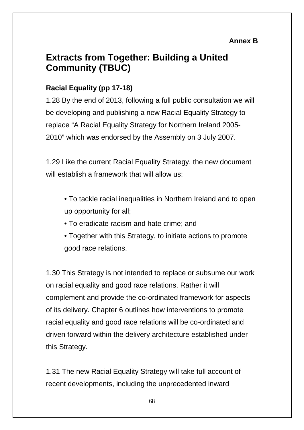### **Annex B**

## **Extracts from Together: Building a United Community (TBUC)**

## **Racial Equality (pp 17-18)**

1.28 By the end of 2013, following a full public consultation we will be developing and publishing a new Racial Equality Strategy to replace "A Racial Equality Strategy for Northern Ireland 2005- 2010" which was endorsed by the Assembly on 3 July 2007.

1.29 Like the current Racial Equality Strategy, the new document will establish a framework that will allow us:

- To tackle racial inequalities in Northern Ireland and to open up opportunity for all;
- To eradicate racism and hate crime; and
- Together with this Strategy, to initiate actions to promote good race relations.

1.30 This Strategy is not intended to replace or subsume our work on racial equality and good race relations. Rather it will complement and provide the co-ordinated framework for aspects of its delivery. Chapter 6 outlines how interventions to promote racial equality and good race relations will be co-ordinated and driven forward within the delivery architecture established under this Strategy.

1.31 The new Racial Equality Strategy will take full account of recent developments, including the unprecedented inward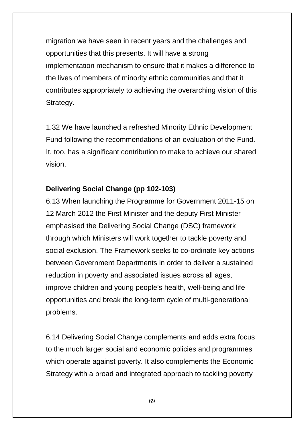migration we have seen in recent years and the challenges and opportunities that this presents. It will have a strong implementation mechanism to ensure that it makes a difference to the lives of members of minority ethnic communities and that it contributes appropriately to achieving the overarching vision of this Strategy.

1.32 We have launched a refreshed Minority Ethnic Development Fund following the recommendations of an evaluation of the Fund. It, too, has a significant contribution to make to achieve our shared vision.

### **Delivering Social Change (pp 102-103)**

6.13 When launching the Programme for Government 2011-15 on 12 March 2012 the First Minister and the deputy First Minister emphasised the Delivering Social Change (DSC) framework through which Ministers will work together to tackle poverty and social exclusion. The Framework seeks to co-ordinate key actions between Government Departments in order to deliver a sustained reduction in poverty and associated issues across all ages, improve children and young people's health, well-being and life opportunities and break the long-term cycle of multi-generational problems.

6.14 Delivering Social Change complements and adds extra focus to the much larger social and economic policies and programmes which operate against poverty. It also complements the Economic Strategy with a broad and integrated approach to tackling poverty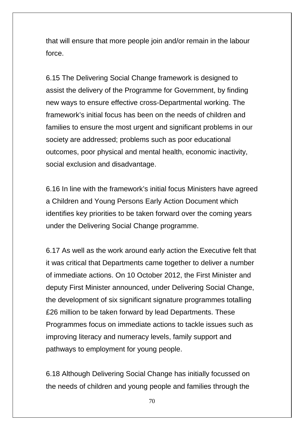that will ensure that more people join and/or remain in the labour force.

6.15 The Delivering Social Change framework is designed to assist the delivery of the Programme for Government, by finding new ways to ensure effective cross-Departmental working. The framework's initial focus has been on the needs of children and families to ensure the most urgent and significant problems in our society are addressed; problems such as poor educational outcomes, poor physical and mental health, economic inactivity, social exclusion and disadvantage.

6.16 In line with the framework's initial focus Ministers have agreed a Children and Young Persons Early Action Document which identifies key priorities to be taken forward over the coming years under the Delivering Social Change programme.

6.17 As well as the work around early action the Executive felt that it was critical that Departments came together to deliver a number of immediate actions. On 10 October 2012, the First Minister and deputy First Minister announced, under Delivering Social Change, the development of six significant signature programmes totalling £26 million to be taken forward by lead Departments. These Programmes focus on immediate actions to tackle issues such as improving literacy and numeracy levels, family support and pathways to employment for young people.

6.18 Although Delivering Social Change has initially focussed on the needs of children and young people and families through the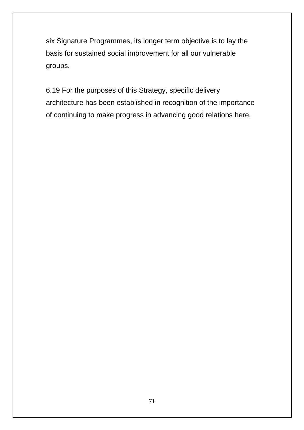six Signature Programmes, its longer term objective is to lay the basis for sustained social improvement for all our vulnerable groups.

6.19 For the purposes of this Strategy, specific delivery architecture has been established in recognition of the importance of continuing to make progress in advancing good relations here.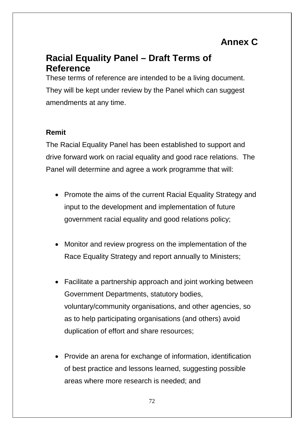# **Annex C**

## **Racial Equality Panel – Draft Terms of Reference**

These terms of reference are intended to be a living document. They will be kept under review by the Panel which can suggest amendments at any time.

### **Remit**

The Racial Equality Panel has been established to support and drive forward work on racial equality and good race relations. The Panel will determine and agree a work programme that will:

- Promote the aims of the current Racial Equality Strategy and input to the development and implementation of future government racial equality and good relations policy;
- Monitor and review progress on the implementation of the Race Equality Strategy and report annually to Ministers;
- Facilitate a partnership approach and joint working between Government Departments, statutory bodies, voluntary/community organisations, and other agencies, so as to help participating organisations (and others) avoid duplication of effort and share resources;
- Provide an arena for exchange of information, identification of best practice and lessons learned, suggesting possible areas where more research is needed; and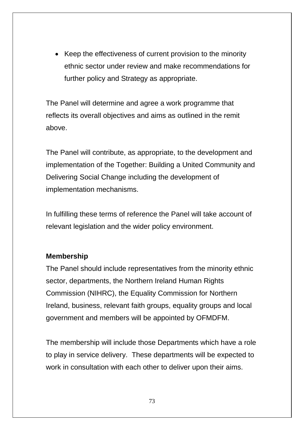• Keep the effectiveness of current provision to the minority ethnic sector under review and make recommendations for further policy and Strategy as appropriate.

The Panel will determine and agree a work programme that reflects its overall objectives and aims as outlined in the remit above.

The Panel will contribute, as appropriate, to the development and implementation of the Together: Building a United Community and Delivering Social Change including the development of implementation mechanisms.

In fulfilling these terms of reference the Panel will take account of relevant legislation and the wider policy environment.

#### **Membership**

The Panel should include representatives from the minority ethnic sector, departments, the Northern Ireland Human Rights Commission (NIHRC), the Equality Commission for Northern Ireland, business, relevant faith groups, equality groups and local government and members will be appointed by OFMDFM.

The membership will include those Departments which have a role to play in service delivery. These departments will be expected to work in consultation with each other to deliver upon their aims.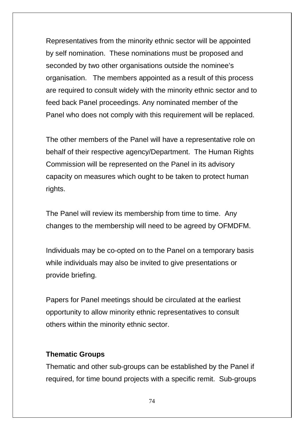Representatives from the minority ethnic sector will be appointed by self nomination. These nominations must be proposed and seconded by two other organisations outside the nominee's organisation. The members appointed as a result of this process are required to consult widely with the minority ethnic sector and to feed back Panel proceedings. Any nominated member of the Panel who does not comply with this requirement will be replaced.

The other members of the Panel will have a representative role on behalf of their respective agency/Department. The Human Rights Commission will be represented on the Panel in its advisory capacity on measures which ought to be taken to protect human rights.

The Panel will review its membership from time to time. Any changes to the membership will need to be agreed by OFMDFM.

Individuals may be co-opted on to the Panel on a temporary basis while individuals may also be invited to give presentations or provide briefing.

Papers for Panel meetings should be circulated at the earliest opportunity to allow minority ethnic representatives to consult others within the minority ethnic sector.

#### **Thematic Groups**

Thematic and other sub-groups can be established by the Panel if required, for time bound projects with a specific remit. Sub-groups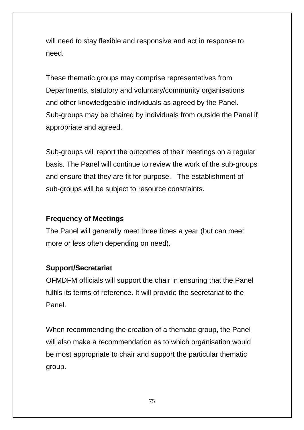will need to stay flexible and responsive and act in response to need.

These thematic groups may comprise representatives from Departments, statutory and voluntary/community organisations and other knowledgeable individuals as agreed by the Panel. Sub-groups may be chaired by individuals from outside the Panel if appropriate and agreed.

Sub-groups will report the outcomes of their meetings on a regular basis. The Panel will continue to review the work of the sub-groups and ensure that they are fit for purpose. The establishment of sub-groups will be subject to resource constraints.

#### **Frequency of Meetings**

The Panel will generally meet three times a year (but can meet more or less often depending on need).

#### **Support/Secretariat**

OFMDFM officials will support the chair in ensuring that the Panel fulfils its terms of reference. It will provide the secretariat to the Panel.

When recommending the creation of a thematic group, the Panel will also make a recommendation as to which organisation would be most appropriate to chair and support the particular thematic group.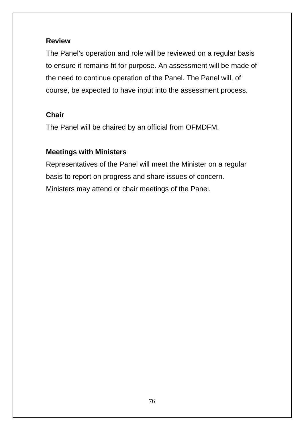#### **Review**

The Panel's operation and role will be reviewed on a regular basis to ensure it remains fit for purpose. An assessment will be made of the need to continue operation of the Panel. The Panel will, of course, be expected to have input into the assessment process.

### **Chair**

The Panel will be chaired by an official from OFMDFM.

### **Meetings with Ministers**

Representatives of the Panel will meet the Minister on a regular basis to report on progress and share issues of concern. Ministers may attend or chair meetings of the Panel.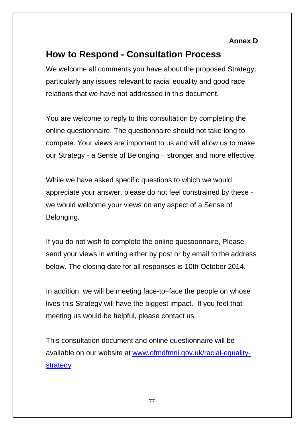#### **Annex D**

# **How to Respond - Consultation Process**

We welcome all comments you have about the proposed Strategy, particularly any issues relevant to racial equality and good race relations that we have not addressed in this document.

You are welcome to reply to this consultation by completing the online questionnaire. The questionnaire should not take long to compete. Your views are important to us and will allow us to make our Strategy - a Sense of Belonging – stronger and more effective.

While we have asked specific questions to which we would appreciate your answer, please do not feel constrained by these we would welcome your views on any aspect of a Sense of Belonging.

If you do not wish to complete the online questionnaire, Please send your views in writing either by post or by email to the address below. The closing date for all responses is 10th October 2014.

In addition, we will be meeting face-to–face the people on whose lives this Strategy will have the biggest impact. If you feel that meeting us would be helpful, please contact us.

This consultation document and online questionnaire will be available on our website at [www.ofmdfmni.gov.uk/racial-equality](http://www.ofmdfmni.gov.uk/racial-equality-strategy)[strategy](http://www.ofmdfmni.gov.uk/racial-equality-strategy)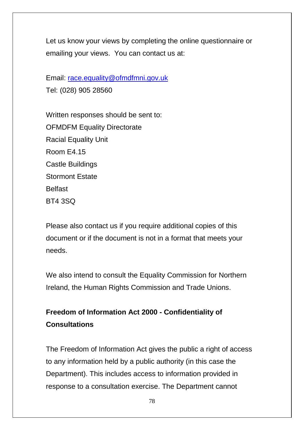Let us know your views by completing the online questionnaire or emailing your views. You can contact us at:

Email: [race.equality@ofmdfmni.gov.uk](mailto:race.equality@ofmdfmni.gov.uk) Tel: (028) 905 28560

Written responses should be sent to: OFMDFM Equality Directorate Racial Equality Unit Room E4.15 Castle Buildings Stormont Estate Belfast BT4 3SQ

Please also contact us if you require additional copies of this document or if the document is not in a format that meets your needs.

We also intend to consult the Equality Commission for Northern Ireland, the Human Rights Commission and Trade Unions.

## **Freedom of Information Act 2000 - Confidentiality of Consultations**

The Freedom of Information Act gives the public a right of access to any information held by a public authority (in this case the Department). This includes access to information provided in response to a consultation exercise. The Department cannot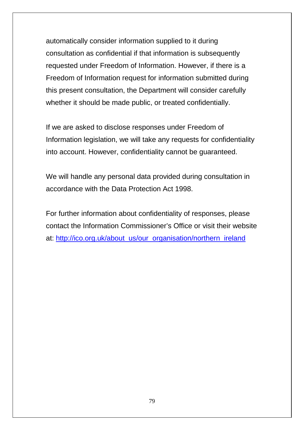automatically consider information supplied to it during consultation as confidential if that information is subsequently requested under Freedom of Information. However, if there is a Freedom of Information request for information submitted during this present consultation, the Department will consider carefully whether it should be made public, or treated confidentially.

If we are asked to disclose responses under Freedom of Information legislation, we will take any requests for confidentiality into account. However, confidentiality cannot be guaranteed.

We will handle any personal data provided during consultation in accordance with the Data Protection Act 1998.

For further information about confidentiality of responses, please contact the Information Commissioner's Office or visit their website at: [http://ico.org.uk/about\\_us/our\\_organisation/northern\\_ireland](http://ico.org.uk/about_us/our_organisation/northern_ireland)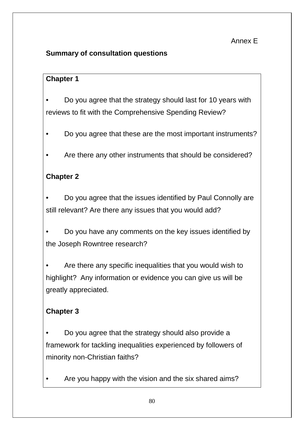#### Annex E

### **Summary of consultation questions**

#### **Chapter 1**

• Do you agree that the strategy should last for 10 years with reviews to fit with the Comprehensive Spending Review?

- Do you agree that these are the most important instruments?
- Are there any other instruments that should be considered?

### **Chapter 2**

• Do you agree that the issues identified by Paul Connolly are still relevant? Are there any issues that you would add?

• Do you have any comments on the key issues identified by the Joseph Rowntree research?

• Are there any specific inequalities that you would wish to highlight? Any information or evidence you can give us will be greatly appreciated.

### **Chapter 3**

• Do you agree that the strategy should also provide a framework for tackling inequalities experienced by followers of minority non-Christian faiths?

Are you happy with the vision and the six shared aims?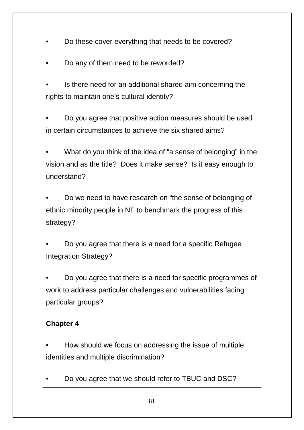• Do these cover everything that needs to be covered?

• Do any of them need to be reworded?

• Is there need for an additional shared aim concerning the rights to maintain one's cultural identity?

• Do you agree that positive action measures should be used in certain circumstances to achieve the six shared aims?

• What do you think of the idea of "a sense of belonging" in the vision and as the title? Does it make sense? Is it easy enough to understand?

• Do we need to have research on "the sense of belonging of ethnic minority people in NI" to benchmark the progress of this strategy?

• Do you agree that there is a need for a specific Refugee Integration Strategy?

• Do you agree that there is a need for specific programmes of work to address particular challenges and vulnerabilities facing particular groups?

### **Chapter 4**

• How should we focus on addressing the issue of multiple identities and multiple discrimination?

• Do you agree that we should refer to TBUC and DSC?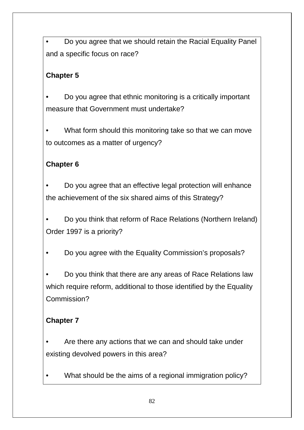• Do you agree that we should retain the Racial Equality Panel and a specific focus on race?

### **Chapter 5**

• Do you agree that ethnic monitoring is a critically important measure that Government must undertake?

What form should this monitoring take so that we can move to outcomes as a matter of urgency?

### **Chapter 6**

• Do you agree that an effective legal protection will enhance the achievement of the six shared aims of this Strategy?

• Do you think that reform of Race Relations (Northern Ireland) Order 1997 is a priority?

• Do you agree with the Equality Commission's proposals?

• Do you think that there are any areas of Race Relations law which require reform, additional to those identified by the Equality Commission?

## **Chapter 7**

• Are there any actions that we can and should take under existing devolved powers in this area?

• What should be the aims of a regional immigration policy?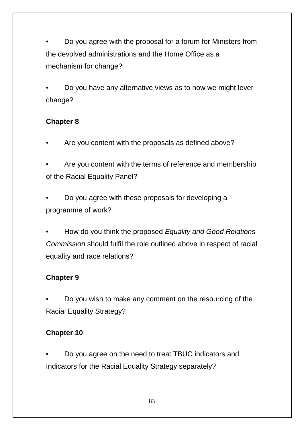• Do you agree with the proposal for a forum for Ministers from the devolved administrations and the Home Office as a mechanism for change?

• Do you have any alternative views as to how we might lever change?

### **Chapter 8**

• Are you content with the proposals as defined above?

• Are you content with the terms of reference and membership of the Racial Equality Panel?

• Do you agree with these proposals for developing a programme of work?

• How do you think the proposed *Equality and Good Relations Commission* should fulfil the role outlined above in respect of racial equality and race relations?

### **Chapter 9**

• Do you wish to make any comment on the resourcing of the Racial Equality Strategy?

### **Chapter 10**

• Do you agree on the need to treat TBUC indicators and Indicators for the Racial Equality Strategy separately?